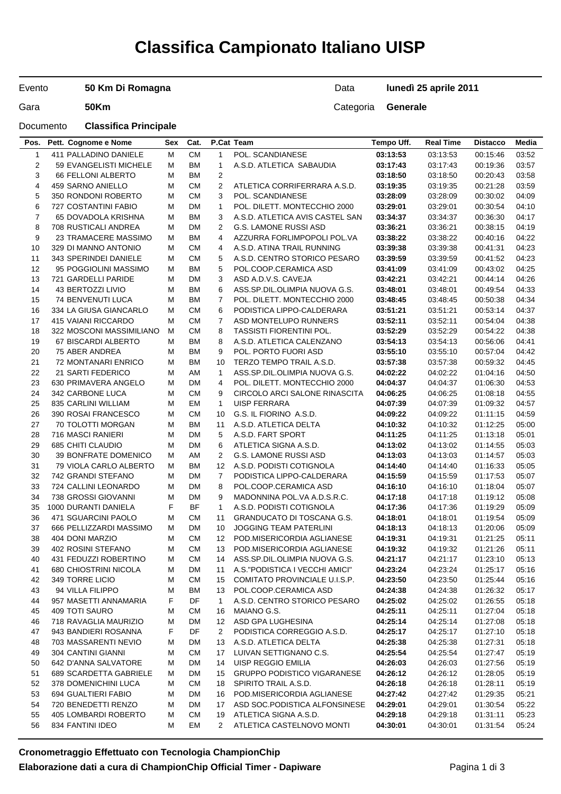# **Classifica Campionato Italiano UISP**

Evento

**50 Km Di Romagna**

Data **lunedì 25 aprile 2011**

Gara **50Km** 50Km

Documento **Classifica Principale**

| Pos.                    | Pett. Cognome e Nome        | Sex | Cat.      |                         | P.Cat Team                         | Tempo Uff. | <b>Real Time</b> | <b>Distacco</b> | Media |
|-------------------------|-----------------------------|-----|-----------|-------------------------|------------------------------------|------------|------------------|-----------------|-------|
| $\mathbf{1}$            | 411 PALLADINO DANIELE       | м   | <b>CM</b> | $\mathbf{1}$            | POL. SCANDIANESE                   | 03:13:53   | 03:13:53         | 00:15:46        | 03:52 |
| $\overline{c}$          | 59 EVANGELISTI MICHELE      | М   | <b>BM</b> | $\mathbf{1}$            | A.S.D. ATLETICA SABAUDIA           | 03:17:43   | 03:17:43         | 00:19:36        | 03:57 |
| 3                       | <b>66 FELLONI ALBERTO</b>   | М   | ВM        | $\overline{c}$          |                                    | 03:18:50   | 03:18:50         | 00:20:43        | 03:58 |
| $\overline{\mathbf{4}}$ | 459 SARNO ANIELLO           | М   | <b>CM</b> | $\overline{\mathbf{c}}$ | ATLETICA CORRIFERRARA A.S.D.       | 03:19:35   | 03:19:35         | 00:21:28        | 03:59 |
| 5                       | 350 RONDONI ROBERTO         | М   | <b>CM</b> | 3                       | POL. SCANDIANESE                   | 03:28:09   | 03:28:09         | 00:30:02        | 04:09 |
| 6                       | 727 COSTANTINI FABIO        | М   | DM        | $\mathbf{1}$            | POL. DILETT. MONTECCHIO 2000       | 03:29:01   | 03:29:01         | 00:30:54        | 04:10 |
| $\overline{7}$          | 65 DOVADOLA KRISHNA         | М   | <b>BM</b> | 3                       | A.S.D. ATLETICA AVIS CASTEL SAN    | 03:34:37   | 03:34:37         | 00:36:30        | 04:17 |
|                         |                             |     |           |                         |                                    |            |                  |                 |       |
| 8                       | 708 RUSTICALI ANDREA        | М   | DM        | 2                       | <b>G.S. LAMONE RUSSI ASD</b>       | 03:36:21   | 03:36:21         | 00:38:15        | 04:19 |
| 9                       | 23 TRAMACERE MASSIMO        | м   | ВM        | 4                       | AZZURRA FORLIMPOPOLI POL.VA        | 03:38:22   | 03:38:22         | 00:40:16        | 04:22 |
| 10                      | 329 DI MANNO ANTONIO        | М   | <b>CM</b> | 4                       | A.S.D. ATINA TRAIL RUNNING         | 03:39:38   | 03:39:38         | 00:41:31        | 04:23 |
| 11                      | 343 SPERINDEI DANIELE       | М   | <b>CM</b> | 5                       | A.S.D. CENTRO STORICO PESARO       | 03:39:59   | 03:39:59         | 00:41:52        | 04:23 |
| 12                      | 95 POGGIOLINI MASSIMO       | м   | <b>BM</b> | 5                       | POL.COOP.CERAMICA ASD              | 03:41:09   | 03:41:09         | 00:43:02        | 04:25 |
| 13                      | 721 GARDELLI PARIDE         | М   | <b>DM</b> | 3                       | ASD A.D.V.S. CAVEJA                | 03:42:21   | 03:42:21         | 00:44:14        | 04:26 |
| 14                      | 43 BERTOZZI LIVIO           | М   | <b>BM</b> | 6                       | ASS.SP.DIL.OLIMPIA NUOVA G.S.      | 03:48:01   | 03:48:01         | 00:49:54        | 04:33 |
| 15                      | 74 BENVENUTI LUCA           | М   | ВM        | 7                       | POL. DILETT. MONTECCHIO 2000       | 03:48:45   | 03:48:45         | 00:50:38        | 04:34 |
| 16                      | 334 LA GIUSA GIANCARLO      | М   | <b>CM</b> | 6                       | PODISTICA LIPPO-CALDERARA          | 03:51:21   | 03:51:21         | 00:53:14        | 04:37 |
| 17                      | 415 VAIANI RICCARDO         | М   | <b>CM</b> | 7                       | ASD MONTELUPO RUNNERS              | 03:52:11   | 03:52:11         | 00:54:04        | 04:38 |
| 18                      | 322 MOSCONI MASSIMILIANO    | м   | <b>CM</b> | 8                       | <b>TASSISTI FIORENTINI POL.</b>    | 03:52:29   | 03:52:29         | 00:54:22        | 04:38 |
| 19                      | <b>67 BISCARDI ALBERTO</b>  | М   | <b>BM</b> | 8                       | A.S.D. ATLETICA CALENZANO          | 03:54:13   | 03:54:13         | 00:56:06        | 04:41 |
| 20                      | 75 ABER ANDREA              | М   | ВM        | 9                       | POL. PORTO FUORI ASD               | 03:55:10   | 03:55:10         | 00:57:04        | 04:42 |
| 21                      | <b>72 MONTANARI ENRICO</b>  | м   | ВM        | 10                      | TERZO TEMPO TRAIL A.S.D.           | 03:57:38   | 03:57:38         | 00:59:32        | 04:45 |
| 22                      | 21 SARTI FEDERICO           | М   | AM        | 1                       | ASS.SP.DIL.OLIMPIA NUOVA G.S.      | 04:02:22   | 04:02:22         | 01:04:16        | 04:50 |
| 23                      | 630 PRIMAVERA ANGELO        | М   | <b>DM</b> | 4                       | POL. DILETT. MONTECCHIO 2000       | 04:04:37   | 04:04:37         | 01:06:30        | 04:53 |
| 24                      | 342 CARBONE LUCA            | М   | <b>CM</b> | 9                       | CIRCOLO ARCI SALONE RINASCITA      |            | 04:06:25         | 01:08:18        | 04:55 |
|                         |                             |     |           |                         |                                    | 04:06:25   |                  |                 |       |
| 25                      | 835 CARLINI WILLIAM         | М   | EM        | $\mathbf{1}$            | <b>UISP FERRARA</b>                | 04:07:39   | 04:07:39         | 01:09:32        | 04:57 |
| 26                      | 390 ROSAI FRANCESCO         | М   | <b>CM</b> | 10                      | G.S. IL FIORINO A.S.D.             | 04:09:22   | 04:09:22         | 01:11:15        | 04:59 |
| 27                      | 70 TOLOTTI MORGAN           | м   | ВM        | 11                      | A.S.D. ATLETICA DELTA              | 04:10:32   | 04:10:32         | 01:12:25        | 05:00 |
| 28                      | 716 MASCI RANIERI           | М   | <b>DM</b> | 5                       | A.S.D. FART SPORT                  | 04:11:25   | 04:11:25         | 01:13:18        | 05:01 |
| 29                      | 685 CHITI CLAUDIO           | М   | <b>DM</b> | 6                       | ATLETICA SIGNA A.S.D.              | 04:13:02   | 04:13:02         | 01:14:55        | 05:03 |
| 30                      | <b>39 BONFRATE DOMENICO</b> | М   | AM        | 2                       | <b>G.S. LAMONE RUSSI ASD</b>       | 04:13:03   | 04:13:03         | 01:14:57        | 05:03 |
| 31                      | 79 VIOLA CARLO ALBERTO      | М   | <b>BM</b> | 12                      | A.S.D. PODISTI COTIGNOLA           | 04:14:40   | 04:14:40         | 01:16:33        | 05:05 |
| 32                      | 742 GRANDI STEFANO          | М   | DM        | $\overline{7}$          | PODISTICA LIPPO-CALDERARA          | 04:15:59   | 04:15:59         | 01:17:53        | 05:07 |
| 33                      | 724 CALLINI LEONARDO        | м   | DM        | 8                       | POL.COOP.CERAMICA ASD              | 04:16:10   | 04:16:10         | 01:18:04        | 05:07 |
| 34                      | 738 GROSSI GIOVANNI         | М   | <b>DM</b> | 9                       | MADONNINA POL.VA A.D.S.R.C.        | 04:17:18   | 04:17:18         | 01:19:12        | 05:08 |
| 35                      | 1000 DURANTI DANIELA        | F   | <b>BF</b> | $\mathbf{1}$            | A.S.D. PODISTI COTIGNOLA           | 04:17:36   | 04:17:36         | 01:19:29        | 05:09 |
| 36                      | 471 SGUARCINI PAOLO         | М   | <b>CM</b> | 11                      | <b>GRANDUCATO DI TOSCANA G.S.</b>  | 04:18:01   | 04:18:01         | 01:19:54        | 05:09 |
| 37                      | 666 PELLIZZARDI MASSIMO     | М   | <b>DM</b> | 10                      | JOGGING TEAM PATERLINI             | 04:18:13   | 04:18:13         | 01:20:06        | 05:09 |
| 38                      | 404 DONI MARZIO             | М   | СM        | 12                      | POD MISERICORDIA AGLIANESE         | 04:19:31   | 04:19:31         | 01:21:25        | 05:11 |
| 39                      | 402 ROSINI STEFANO          | М   | <b>CM</b> | 13                      | POD MISERICORDIA AGLIANESE         | 04:19:32   | 04:19:32         | 01:21:26        | 05:11 |
| 40                      | 431 FEDUZZI ROBERTINO       | М   | <b>CM</b> | 14                      | ASS.SP.DIL.OLIMPIA NUOVA G.S.      | 04:21:17   | 04:21:17         | 01:23:10        | 05:13 |
| 41                      | 680 CHIOSTRINI NICOLA       | M   | DM        | 11                      | A.S. "PODISTICA I VECCHI AMICI"    | 04:23:24   | 04:23:24         | 01:25:17        | 05:16 |
| 42                      | 349 TORRE LICIO             | м   | <b>CM</b> | 15                      | COMITATO PROVINCIALE U.I.S.P.      | 04:23:50   | 04:23:50         | 01:25:44        | 05:16 |
| 43                      | 94 VILLA FILIPPO            |     | <b>BM</b> |                         | POL.COOP.CERAMICA ASD              | 04:24:38   |                  |                 |       |
|                         |                             | М   |           | 13                      |                                    |            | 04:24:38         | 01:26:32        | 05:17 |
| 44                      | 957 MASETTI ANNAMARIA       | F   | DF        | $\mathbf{1}$            | A.S.D. CENTRO STORICO PESARO       | 04:25:02   | 04:25:02         | 01:26:55        | 05:18 |
| 45                      | 409 TOTI SAURO              | M   | <b>CM</b> | 16                      | MAIANO G.S.                        | 04:25:11   | 04:25:11         | 01:27:04        | 05:18 |
| 46                      | 718 RAVAGLIA MAURIZIO       | M   | <b>DM</b> | 12                      | ASD GPA LUGHESINA                  | 04:25:14   | 04:25:14         | 01:27:08        | 05:18 |
| 47                      | 943 BANDIERI ROSANNA        | F   | DF        | 2                       | PODISTICA CORREGGIO A.S.D.         | 04:25:17   | 04:25:17         | 01:27:10        | 05:18 |
| 48                      | 703 MASSARENTI NEVIO        | M   | DM        | 13                      | A.S.D. ATLETICA DELTA              | 04:25:38   | 04:25:38         | 01:27:31        | 05:18 |
| 49                      | 304 CANTINI GIANNI          | М   | <b>CM</b> | 17                      | LUIVAN SETTIGNANO C.S.             | 04:25:54   | 04:25:54         | 01:27:47        | 05:19 |
| 50                      | 642 D'ANNA SALVATORE        | M   | DM        | 14                      | UISP REGGIO EMILIA                 | 04:26:03   | 04:26:03         | 01:27:56        | 05:19 |
| 51                      | 689 SCARDETTA GABRIELE      | м   | DM        | 15                      | <b>GRUPPO PODISTICO VIGARANESE</b> | 04:26:12   | 04:26:12         | 01:28:05        | 05:19 |
| 52                      | 378 DOMENICHINI LUCA        | М   | <b>CM</b> | 18                      | SPIRITO TRAIL A.S.D.               | 04:26:18   | 04:26:18         | 01:28:11        | 05:19 |
| 53                      | 694 GUALTIERI FABIO         | M   | DM        | 16                      | POD.MISERICORDIA AGLIANESE         | 04:27:42   | 04:27:42         | 01:29:35        | 05:21 |
| 54                      | 720 BENEDETTI RENZO         | м   | DM        | 17                      | ASD SOC.PODISTICA ALFONSINESE      | 04:29:01   | 04:29:01         | 01:30:54        | 05:22 |
| 55                      | 405 LOMBARDI ROBERTO        | М   | <b>CM</b> | 19                      | ATLETICA SIGNA A.S.D.              | 04:29:18   | 04:29:18         | 01:31:11        | 05:23 |
| 56                      | 834 FANTINI IDEO            | м   | EM        | 2                       | ATLETICA CASTELNOVO MONTI          | 04:30:01   | 04:30:01         | 01:31:54        | 05:24 |
|                         |                             |     |           |                         |                                    |            |                  |                 |       |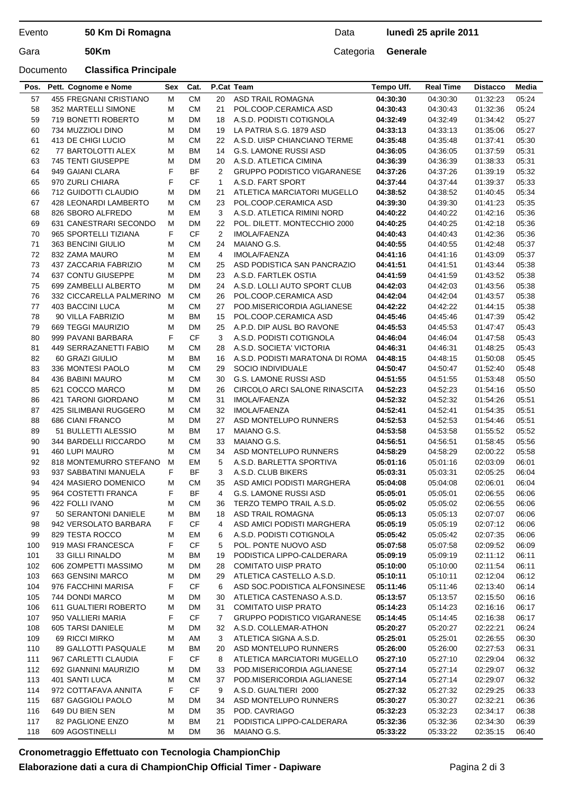### Evento **50 Km Di Romagna**

## Documento **Classifica Principale**

Gara **50Km** Categoria **Generale**

| <b>CM</b><br>455 FREGNANI CRISTIANO<br><b>ASD TRAIL ROMAGNA</b><br>57<br>м<br>20<br>04:30:30<br>04:30:30<br>01:32:23<br>05:24<br>M<br><b>CM</b><br>05:24<br>58<br>352 MARTELLI SIMONE<br>21<br>POL.COOP.CERAMICA ASD<br>04:30:43<br>04:30:43<br>01:32:36<br>59<br>719 BONETTI ROBERTO<br><b>DM</b><br>A.S.D. PODISTI COTIGNOLA<br>04:32:49<br>05:27<br>M<br>18<br>04:32:49<br>01:34:42<br><b>DM</b><br>60<br>734 MUZZIOLI DINO<br>М<br>LA PATRIA S.G. 1879 ASD<br>04:33:13<br>04:33:13<br>01:35:06<br>05:27<br>19<br><b>CM</b><br>61<br>413 DE CHIGI LUCIO<br>М<br>22<br>A.S.D. UISP CHIANCIANO TERME<br>04:35:48<br>04:35:48<br>01:37:41<br>05:30<br>62<br><b>BM</b><br><b>G.S. LAMONE RUSSI ASD</b><br>05:31<br>77 BARTOLOTTI ALEX<br>М<br>14<br>04:36:05<br>04:36:05<br>01:37:59<br>745 TENTI GIUSEPPE<br>63<br>М<br>DM<br>A.S.D. ATLETICA CIMINA<br>04:36:39<br>04:36:39<br>01:38:33<br>05:31<br>20<br>F<br>64<br><b>BF</b><br>2<br>949 GAIANI CLARA<br><b>GRUPPO PODISTICO VIGARANESE</b><br>04:37:26<br>04:37:26<br>01:39:19<br>05:32<br>F<br><b>CF</b><br>65<br>970 ZURLI CHIARA<br>A.S.D. FART SPORT<br>05:33<br>1<br>04:37:44<br>04:37:44<br>01:39:37<br>66<br>712 GUIDOTTI CLAUDIO<br>М<br>DM<br>21<br>ATLETICA MARCIATORI MUGELLO<br>04:38:52<br>04:38:52<br>01:40:45<br>05:34<br><b>CM</b><br>23<br>67<br>428 LEONARDI LAMBERTO<br>М<br>POL.COOP.CERAMICA ASD<br>04:39:30<br>04:39:30<br>01:41:23<br>05:35<br>EM<br>3<br>05:36<br>68<br>826 SBORO ALFREDO<br>М<br>A.S.D. ATLETICA RIMINI NORD<br>04:40:22<br>04:40:22<br>01:42:16<br>69<br>631 CANESTRARI SECONDO<br>М<br>DM<br>22<br>POL. DILETT. MONTECCHIO 2000<br>04:40:25<br>04:40:25<br>05:36<br>01:42:18<br>F<br><b>CF</b><br>$\overline{2}$<br>05:36<br>70<br>965 SPORTELLI TIZIANA<br>IMOLA/FAENZA<br>04:40:43<br>04:40:43<br>01:42:36<br>71<br><b>CM</b><br>05:37<br>363 BENCINI GIULIO<br>М<br>24<br>MAIANO G.S.<br>04:40:55<br>04:40:55<br>01:42:48<br>72<br>EM<br>832 ZAMA MAURO<br>4<br>IMOLA/FAENZA<br>04:41:16<br>04:41:16<br>05:37<br>м<br>01:43:09<br>73<br>437 ZACCARIA FABRIZIO<br><b>CM</b><br>ASD PODISTICA SAN PANCRAZIO<br>05:38<br>М<br>25<br>04:41:51<br>04:41:51<br>01:43:44<br>74<br>637 CONTU GIUSEPPE<br><b>DM</b><br>23<br>05:38<br>M<br>A.S.D. FARTLEK OSTIA<br>04:41:59<br>04:41:59<br>01:43:52<br>75<br>699 ZAMBELLI ALBERTO<br>М<br>DM<br>A.S.D. LOLLI AUTO SPORT CLUB<br>04:42:03<br>04:42:03<br>05:38<br>24<br>01:43:56<br>76<br>332 CICCARELLA PALMERINO<br><b>CM</b><br>POL.COOP.CERAMICA ASD<br>04:42:04<br>04:42:04<br>05:38<br>м<br>26<br>01:43:57<br>77<br>403 BACCINI LUCA<br><b>CM</b><br>05:38<br>M<br>27<br>POD MISERICORDIA AGLIANESE<br>04:42:22<br>04:42:22<br>01:44:15<br>78<br><b>BM</b><br>90 VILLA FABRIZIO<br>М<br>15<br>POL.COOP.CERAMICA ASD<br>04:45:46<br>04:45:46<br>05:42<br>01:47:39<br>79<br><b>DM</b><br>A.P.D. DIP AUSL BO RAVONE<br>669 TEGGI MAURIZIO<br>М<br>25<br>04:45:53<br>04:45:53<br>05:43<br>01:47:47<br>F<br>CF<br>3<br>A.S.D. PODISTI COTIGNOLA<br>05:43<br>80<br>999 PAVANI BARBARA<br>04:46:04<br>04:46:04<br>01:47:58<br><b>CM</b><br>81<br>449 SERRAZANETTI FABIO<br>М<br>A.S.D. SOCIETA' VICTORIA<br>04:46:31<br>05:43<br>28<br>04:46:31<br>01:48:25<br>82<br><b>BM</b><br>05:45<br>60 GRAZI GIULIO<br>М<br>16<br>A.S.D. PODISTI MARATONA DI ROMA<br>04:48:15<br>04:48:15<br>01:50:08<br>83<br>336 MONTESI PAOLO<br><b>CM</b><br>04:50:47<br>05:48<br>M<br>29<br>SOCIO INDIVIDUALE<br>04:50:47<br>01:52:40<br><b>CM</b><br>84<br>436 BABINI MAURO<br><b>G.S. LAMONE RUSSI ASD</b><br>04:51:55<br>04:51:55<br>01.53.48<br>05:50<br>м<br>30<br>621 COCCO MARCO<br><b>DM</b><br>85<br>М<br>26<br>CIRCOLO ARCI SALONE RINASCITA<br>04:52:23<br>04:52:23<br>01:54:16<br>05:50<br>86<br><b>CM</b><br>31<br><b>IMOLA/FAENZA</b><br>04:52:32<br>04:52:32<br>05:51<br>421 TARONI GIORDANO<br>М<br>01:54:26<br><b>CM</b><br>87<br>425 SILIMBANI RUGGERO<br>М<br>32<br><b>IMOLA/FAENZA</b><br>04:52:41<br>04:52:41<br>01:54:35<br>05:51<br>88<br>686 CIANI FRANCO<br>M<br><b>DM</b><br>ASD MONTELUPO RUNNERS<br>04:52:53<br>05:51<br>27<br>04:52:53<br>01:54:46<br><b>BM</b><br>05:52<br>89<br>51 BULLETTI ALESSIO<br>M<br>17<br>MAIANO G.S.<br>04:53:58<br>04:53:58<br>01:55:52<br><b>CM</b><br>90<br>344 BARDELLI RICCARDO<br>м<br>33<br>MAIANO G.S.<br>04:56:51<br>04:56:51<br>05:56<br>01.58:45<br><b>CM</b><br>34<br>91<br>460 LUPI MAURO<br>М<br>ASD MONTELUPO RUNNERS<br>04:58:29<br>04:58:29<br>02:00:22<br>05:58<br>92<br>EM<br>5<br>818 MONTEMURRO STEFANO<br>м<br>A.S.D. BARLETTA SPORTIVA<br>02:03:09<br>06:01<br>05:01:16<br>05:01:16<br>F<br><b>BF</b><br>3<br>93<br>937 SABBATINI MANUELA<br>A.S.D. CLUB BIKERS<br>05:03:31<br>06:04<br>05:03:31<br>02:05:25<br>94<br>06:04<br>424 MASIERO DOMENICO<br>М<br>СM<br>35<br>ASD AMICI PODISTI MARGHERA<br>05:04:08<br>05:04:08<br>02:06:01<br>F<br><b>BF</b><br>95<br>4<br>964 COSTETTI FRANCA<br><b>G.S. LAMONE RUSSI ASD</b><br>05:05:01<br>05:05:01<br>02:06:55<br>06:06<br>96<br>422 FOLLI IVANO<br>M<br>CМ<br>36<br>TERZO TEMPO TRAIL A.S.D.<br>05:05:02<br>05:05:02<br>02:06:55<br>06:06<br>97<br>50 SERANTONI DANIELE<br>ВM<br>18<br>ASD TRAIL ROMAGNA<br>05:05:13<br>06:06<br>М<br>05:05:13<br>02:07:07<br>F<br><b>CF</b><br>98<br>942 VERSOLATO BARBARA<br>4<br>ASD AMICI PODISTI MARGHERA<br>05:05:19<br>06:06<br>05:05:19<br>02:07:12<br>99<br>829 TESTA ROCCO<br>М<br>EM<br>6<br>A.S.D. PODISTI COTIGNOLA<br>05:05:42<br>05:05:42<br>02:07:35<br>06:06<br>F<br><b>CF</b><br>100<br>919 MASI FRANCESCA<br>5<br>POL. PONTE NUOVO ASD<br>05:07:58<br>02:09:52<br>06:09<br>05:07:58<br>33 GILLI RINALDO<br>PODISTICA LIPPO-CALDERARA<br>02:11:12<br>06:11<br>101<br>ВM<br>19<br>05:09:19<br>05:09:19<br>M<br>606 ZOMPETTI MASSIMO<br>DM<br><b>COMITATO UISP PRATO</b><br>102<br>м<br>28<br>05:10:00<br>05:10:00<br>02:11:54<br>06:11<br>ATLETICA CASTELLO A.S.D.<br>103<br>663 GENSINI MARCO<br>М<br>DM<br>29<br>05:10:11<br>05:10:11<br>02:12:04<br>06:12<br>F<br><b>CF</b><br>104<br>976 FACCHINI MARISA<br>6<br>ASD SOC.PODISTICA ALFONSINESE<br>05:11:46<br>02:13:40<br>06:14<br>05:11:46<br>105<br>744 DONDI MARCO<br>DM<br>ATLETICA CASTENASO A.S.D.<br>05:13:57<br>05:13:57<br>02:15:50<br>06:16<br>М<br>30<br>106<br>611 GUALTIERI ROBERTO<br>DM<br>31<br><b>COMITATO UISP PRATO</b><br>05:14:23<br>05:14:23<br>06:17<br>М<br>02:16:16<br>F<br>950 VALLIERI MARIA<br>CF<br><b>GRUPPO PODISTICO VIGARANESE</b><br>107<br>7<br>05:14:45<br>05:14:45<br>02:16:38<br>06:17<br>108<br>605 TARSI DANIELE<br>DM<br>A.S.D. COLLEMAR-ATHON<br>05:20:27<br>05:20:27<br>02:22:21<br>06:24<br>М<br>32<br>109<br>69 RICCI MIRKO<br>AM<br>3<br>ATLETICA SIGNA A.S.D.<br>05:25:01<br>05:25:01<br>02:26:55<br>06:30<br>М<br>110<br>89 GALLOTTI PASQUALE<br>ВM<br>20<br>ASD MONTELUPO RUNNERS<br>06:31<br>М<br>05:26:00<br>05:26:00<br>02:27:53<br>F<br><b>CF</b><br>111<br>967 CARLETTI CLAUDIA<br>8<br>ATLETICA MARCIATORI MUGELLO<br>05:27:10<br>06:32<br>05:27:10<br>02:29:04<br>112<br>692 GIANNINI MAURIZIO<br>DM<br>POD.MISERICORDIA AGLIANESE<br>05:27:14<br>06:32<br>М<br>33<br>05:27:14<br>02:29:07<br>113<br>401 SANTI LUCA<br>СM<br>POD.MISERICORDIA AGLIANESE<br>05:27:14<br>06:32<br>М<br>37<br>05:27:14<br>02:29:07<br><b>CF</b><br>114<br>972 COTTAFAVA ANNITA<br>F<br>A.S.D. GUALTIERI 2000<br>05:27:32<br>05:27:32<br>02:29:25<br>06:33<br>9<br>115<br>687 GAGGIOLI PAOLO<br>М<br>DM<br>ASD MONTELUPO RUNNERS<br>05:30:27<br>05:30:27<br>02:32:21<br>06:36<br>34<br>116<br>649 DU BIEN SEN<br>DM<br>35<br>POD. CAVRIAGO<br>05:32:23<br>05:32:23<br>06:38<br>M<br>02:34:17<br>117<br>82 PAGLIONE ENZO<br>M<br>ВM<br>21<br>PODISTICA LIPPO-CALDERARA<br>05:32:36<br>05:32:36<br>02:34:30<br>06:39<br>36 | Pos. | Pett. Cognome e Nome | Sex | Cat. | P.Cat Team  | Tempo Uff. | <b>Real Time</b> | <b>Distacco</b> | Media |
|----------------------------------------------------------------------------------------------------------------------------------------------------------------------------------------------------------------------------------------------------------------------------------------------------------------------------------------------------------------------------------------------------------------------------------------------------------------------------------------------------------------------------------------------------------------------------------------------------------------------------------------------------------------------------------------------------------------------------------------------------------------------------------------------------------------------------------------------------------------------------------------------------------------------------------------------------------------------------------------------------------------------------------------------------------------------------------------------------------------------------------------------------------------------------------------------------------------------------------------------------------------------------------------------------------------------------------------------------------------------------------------------------------------------------------------------------------------------------------------------------------------------------------------------------------------------------------------------------------------------------------------------------------------------------------------------------------------------------------------------------------------------------------------------------------------------------------------------------------------------------------------------------------------------------------------------------------------------------------------------------------------------------------------------------------------------------------------------------------------------------------------------------------------------------------------------------------------------------------------------------------------------------------------------------------------------------------------------------------------------------------------------------------------------------------------------------------------------------------------------------------------------------------------------------------------------------------------------------------------------------------------------------------------------------------------------------------------------------------------------------------------------------------------------------------------------------------------------------------------------------------------------------------------------------------------------------------------------------------------------------------------------------------------------------------------------------------------------------------------------------------------------------------------------------------------------------------------------------------------------------------------------------------------------------------------------------------------------------------------------------------------------------------------------------------------------------------------------------------------------------------------------------------------------------------------------------------------------------------------------------------------------------------------------------------------------------------------------------------------------------------------------------------------------------------------------------------------------------------------------------------------------------------------------------------------------------------------------------------------------------------------------------------------------------------------------------------------------------------------------------------------------------------------------------------------------------------------------------------------------------------------------------------------------------------------------------------------------------------------------------------------------------------------------------------------------------------------------------------------------------------------------------------------------------------------------------------------------------------------------------------------------------------------------------------------------------------------------------------------------------------------------------------------------------------------------------------------------------------------------------------------------------------------------------------------------------------------------------------------------------------------------------------------------------------------------------------------------------------------------------------------------------------------------------------------------------------------------------------------------------------------------------------------------------------------------------------------------------------------------------------------------------------------------------------------------------------------------------------------------------------------------------------------------------------------------------------------------------------------------------------------------------------------------------------------------------------------------------------------------------------------------------------------------------------------------------------------------------------------------------------------------------------------------------------------------------------------------------------------------------------------------------------------------------------------------------------------------------------------------------------------------------------------------------------------------------------------------------------------------------------------------------------------------------------------------------------------------------------------------------------------------------------------------------------------------------------------------------------------------------------------------------------------------------------------------------------------------------------------------------------------------------------------------------------------------------------------------------------------------------------------------------------------------------------------------------------------------------------------------------------------------------------------------------------------------------------------------------------------------------------------------------------------------------------------------------------------------------------------------------------------------------------------------------------------------------------------------------------------------------------------------------------------------------------------------------------------------------------------------------------------------------------------------------------------------------------------------------------------------------------------------------------------------------------------------------------------------------------------------------------------------------------------------------------------------------------------------|------|----------------------|-----|------|-------------|------------|------------------|-----------------|-------|
|                                                                                                                                                                                                                                                                                                                                                                                                                                                                                                                                                                                                                                                                                                                                                                                                                                                                                                                                                                                                                                                                                                                                                                                                                                                                                                                                                                                                                                                                                                                                                                                                                                                                                                                                                                                                                                                                                                                                                                                                                                                                                                                                                                                                                                                                                                                                                                                                                                                                                                                                                                                                                                                                                                                                                                                                                                                                                                                                                                                                                                                                                                                                                                                                                                                                                                                                                                                                                                                                                                                                                                                                                                                                                                                                                                                                                                                                                                                                                                                                                                                                                                                                                                                                                                                                                                                                                                                                                                                                                                                                                                                                                                                                                                                                                                                                                                                                                                                                                                                                                                                                                                                                                                                                                                                                                                                                                                                                                                                                                                                                                                                                                                                                                                                                                                                                                                                                                                                                                                                                                                                                                                                                                                                                                                                                                                                                                                                                                                                                                                                                                                                                                                                                                                                                                                                                                                                                                                                                                                                                                                                                                                                                                                                                                                                                                                                                                                                                                                                                                                                                                                                                                                                                                                                      |      |                      |     |      |             |            |                  |                 |       |
|                                                                                                                                                                                                                                                                                                                                                                                                                                                                                                                                                                                                                                                                                                                                                                                                                                                                                                                                                                                                                                                                                                                                                                                                                                                                                                                                                                                                                                                                                                                                                                                                                                                                                                                                                                                                                                                                                                                                                                                                                                                                                                                                                                                                                                                                                                                                                                                                                                                                                                                                                                                                                                                                                                                                                                                                                                                                                                                                                                                                                                                                                                                                                                                                                                                                                                                                                                                                                                                                                                                                                                                                                                                                                                                                                                                                                                                                                                                                                                                                                                                                                                                                                                                                                                                                                                                                                                                                                                                                                                                                                                                                                                                                                                                                                                                                                                                                                                                                                                                                                                                                                                                                                                                                                                                                                                                                                                                                                                                                                                                                                                                                                                                                                                                                                                                                                                                                                                                                                                                                                                                                                                                                                                                                                                                                                                                                                                                                                                                                                                                                                                                                                                                                                                                                                                                                                                                                                                                                                                                                                                                                                                                                                                                                                                                                                                                                                                                                                                                                                                                                                                                                                                                                                                                      |      |                      |     |      |             |            |                  |                 |       |
|                                                                                                                                                                                                                                                                                                                                                                                                                                                                                                                                                                                                                                                                                                                                                                                                                                                                                                                                                                                                                                                                                                                                                                                                                                                                                                                                                                                                                                                                                                                                                                                                                                                                                                                                                                                                                                                                                                                                                                                                                                                                                                                                                                                                                                                                                                                                                                                                                                                                                                                                                                                                                                                                                                                                                                                                                                                                                                                                                                                                                                                                                                                                                                                                                                                                                                                                                                                                                                                                                                                                                                                                                                                                                                                                                                                                                                                                                                                                                                                                                                                                                                                                                                                                                                                                                                                                                                                                                                                                                                                                                                                                                                                                                                                                                                                                                                                                                                                                                                                                                                                                                                                                                                                                                                                                                                                                                                                                                                                                                                                                                                                                                                                                                                                                                                                                                                                                                                                                                                                                                                                                                                                                                                                                                                                                                                                                                                                                                                                                                                                                                                                                                                                                                                                                                                                                                                                                                                                                                                                                                                                                                                                                                                                                                                                                                                                                                                                                                                                                                                                                                                                                                                                                                                                      |      |                      |     |      |             |            |                  |                 |       |
|                                                                                                                                                                                                                                                                                                                                                                                                                                                                                                                                                                                                                                                                                                                                                                                                                                                                                                                                                                                                                                                                                                                                                                                                                                                                                                                                                                                                                                                                                                                                                                                                                                                                                                                                                                                                                                                                                                                                                                                                                                                                                                                                                                                                                                                                                                                                                                                                                                                                                                                                                                                                                                                                                                                                                                                                                                                                                                                                                                                                                                                                                                                                                                                                                                                                                                                                                                                                                                                                                                                                                                                                                                                                                                                                                                                                                                                                                                                                                                                                                                                                                                                                                                                                                                                                                                                                                                                                                                                                                                                                                                                                                                                                                                                                                                                                                                                                                                                                                                                                                                                                                                                                                                                                                                                                                                                                                                                                                                                                                                                                                                                                                                                                                                                                                                                                                                                                                                                                                                                                                                                                                                                                                                                                                                                                                                                                                                                                                                                                                                                                                                                                                                                                                                                                                                                                                                                                                                                                                                                                                                                                                                                                                                                                                                                                                                                                                                                                                                                                                                                                                                                                                                                                                                                      |      |                      |     |      |             |            |                  |                 |       |
|                                                                                                                                                                                                                                                                                                                                                                                                                                                                                                                                                                                                                                                                                                                                                                                                                                                                                                                                                                                                                                                                                                                                                                                                                                                                                                                                                                                                                                                                                                                                                                                                                                                                                                                                                                                                                                                                                                                                                                                                                                                                                                                                                                                                                                                                                                                                                                                                                                                                                                                                                                                                                                                                                                                                                                                                                                                                                                                                                                                                                                                                                                                                                                                                                                                                                                                                                                                                                                                                                                                                                                                                                                                                                                                                                                                                                                                                                                                                                                                                                                                                                                                                                                                                                                                                                                                                                                                                                                                                                                                                                                                                                                                                                                                                                                                                                                                                                                                                                                                                                                                                                                                                                                                                                                                                                                                                                                                                                                                                                                                                                                                                                                                                                                                                                                                                                                                                                                                                                                                                                                                                                                                                                                                                                                                                                                                                                                                                                                                                                                                                                                                                                                                                                                                                                                                                                                                                                                                                                                                                                                                                                                                                                                                                                                                                                                                                                                                                                                                                                                                                                                                                                                                                                                                      |      |                      |     |      |             |            |                  |                 |       |
|                                                                                                                                                                                                                                                                                                                                                                                                                                                                                                                                                                                                                                                                                                                                                                                                                                                                                                                                                                                                                                                                                                                                                                                                                                                                                                                                                                                                                                                                                                                                                                                                                                                                                                                                                                                                                                                                                                                                                                                                                                                                                                                                                                                                                                                                                                                                                                                                                                                                                                                                                                                                                                                                                                                                                                                                                                                                                                                                                                                                                                                                                                                                                                                                                                                                                                                                                                                                                                                                                                                                                                                                                                                                                                                                                                                                                                                                                                                                                                                                                                                                                                                                                                                                                                                                                                                                                                                                                                                                                                                                                                                                                                                                                                                                                                                                                                                                                                                                                                                                                                                                                                                                                                                                                                                                                                                                                                                                                                                                                                                                                                                                                                                                                                                                                                                                                                                                                                                                                                                                                                                                                                                                                                                                                                                                                                                                                                                                                                                                                                                                                                                                                                                                                                                                                                                                                                                                                                                                                                                                                                                                                                                                                                                                                                                                                                                                                                                                                                                                                                                                                                                                                                                                                                                      |      |                      |     |      |             |            |                  |                 |       |
|                                                                                                                                                                                                                                                                                                                                                                                                                                                                                                                                                                                                                                                                                                                                                                                                                                                                                                                                                                                                                                                                                                                                                                                                                                                                                                                                                                                                                                                                                                                                                                                                                                                                                                                                                                                                                                                                                                                                                                                                                                                                                                                                                                                                                                                                                                                                                                                                                                                                                                                                                                                                                                                                                                                                                                                                                                                                                                                                                                                                                                                                                                                                                                                                                                                                                                                                                                                                                                                                                                                                                                                                                                                                                                                                                                                                                                                                                                                                                                                                                                                                                                                                                                                                                                                                                                                                                                                                                                                                                                                                                                                                                                                                                                                                                                                                                                                                                                                                                                                                                                                                                                                                                                                                                                                                                                                                                                                                                                                                                                                                                                                                                                                                                                                                                                                                                                                                                                                                                                                                                                                                                                                                                                                                                                                                                                                                                                                                                                                                                                                                                                                                                                                                                                                                                                                                                                                                                                                                                                                                                                                                                                                                                                                                                                                                                                                                                                                                                                                                                                                                                                                                                                                                                                                      |      |                      |     |      |             |            |                  |                 |       |
|                                                                                                                                                                                                                                                                                                                                                                                                                                                                                                                                                                                                                                                                                                                                                                                                                                                                                                                                                                                                                                                                                                                                                                                                                                                                                                                                                                                                                                                                                                                                                                                                                                                                                                                                                                                                                                                                                                                                                                                                                                                                                                                                                                                                                                                                                                                                                                                                                                                                                                                                                                                                                                                                                                                                                                                                                                                                                                                                                                                                                                                                                                                                                                                                                                                                                                                                                                                                                                                                                                                                                                                                                                                                                                                                                                                                                                                                                                                                                                                                                                                                                                                                                                                                                                                                                                                                                                                                                                                                                                                                                                                                                                                                                                                                                                                                                                                                                                                                                                                                                                                                                                                                                                                                                                                                                                                                                                                                                                                                                                                                                                                                                                                                                                                                                                                                                                                                                                                                                                                                                                                                                                                                                                                                                                                                                                                                                                                                                                                                                                                                                                                                                                                                                                                                                                                                                                                                                                                                                                                                                                                                                                                                                                                                                                                                                                                                                                                                                                                                                                                                                                                                                                                                                                                      |      |                      |     |      |             |            |                  |                 |       |
|                                                                                                                                                                                                                                                                                                                                                                                                                                                                                                                                                                                                                                                                                                                                                                                                                                                                                                                                                                                                                                                                                                                                                                                                                                                                                                                                                                                                                                                                                                                                                                                                                                                                                                                                                                                                                                                                                                                                                                                                                                                                                                                                                                                                                                                                                                                                                                                                                                                                                                                                                                                                                                                                                                                                                                                                                                                                                                                                                                                                                                                                                                                                                                                                                                                                                                                                                                                                                                                                                                                                                                                                                                                                                                                                                                                                                                                                                                                                                                                                                                                                                                                                                                                                                                                                                                                                                                                                                                                                                                                                                                                                                                                                                                                                                                                                                                                                                                                                                                                                                                                                                                                                                                                                                                                                                                                                                                                                                                                                                                                                                                                                                                                                                                                                                                                                                                                                                                                                                                                                                                                                                                                                                                                                                                                                                                                                                                                                                                                                                                                                                                                                                                                                                                                                                                                                                                                                                                                                                                                                                                                                                                                                                                                                                                                                                                                                                                                                                                                                                                                                                                                                                                                                                                                      |      |                      |     |      |             |            |                  |                 |       |
|                                                                                                                                                                                                                                                                                                                                                                                                                                                                                                                                                                                                                                                                                                                                                                                                                                                                                                                                                                                                                                                                                                                                                                                                                                                                                                                                                                                                                                                                                                                                                                                                                                                                                                                                                                                                                                                                                                                                                                                                                                                                                                                                                                                                                                                                                                                                                                                                                                                                                                                                                                                                                                                                                                                                                                                                                                                                                                                                                                                                                                                                                                                                                                                                                                                                                                                                                                                                                                                                                                                                                                                                                                                                                                                                                                                                                                                                                                                                                                                                                                                                                                                                                                                                                                                                                                                                                                                                                                                                                                                                                                                                                                                                                                                                                                                                                                                                                                                                                                                                                                                                                                                                                                                                                                                                                                                                                                                                                                                                                                                                                                                                                                                                                                                                                                                                                                                                                                                                                                                                                                                                                                                                                                                                                                                                                                                                                                                                                                                                                                                                                                                                                                                                                                                                                                                                                                                                                                                                                                                                                                                                                                                                                                                                                                                                                                                                                                                                                                                                                                                                                                                                                                                                                                                      |      |                      |     |      |             |            |                  |                 |       |
|                                                                                                                                                                                                                                                                                                                                                                                                                                                                                                                                                                                                                                                                                                                                                                                                                                                                                                                                                                                                                                                                                                                                                                                                                                                                                                                                                                                                                                                                                                                                                                                                                                                                                                                                                                                                                                                                                                                                                                                                                                                                                                                                                                                                                                                                                                                                                                                                                                                                                                                                                                                                                                                                                                                                                                                                                                                                                                                                                                                                                                                                                                                                                                                                                                                                                                                                                                                                                                                                                                                                                                                                                                                                                                                                                                                                                                                                                                                                                                                                                                                                                                                                                                                                                                                                                                                                                                                                                                                                                                                                                                                                                                                                                                                                                                                                                                                                                                                                                                                                                                                                                                                                                                                                                                                                                                                                                                                                                                                                                                                                                                                                                                                                                                                                                                                                                                                                                                                                                                                                                                                                                                                                                                                                                                                                                                                                                                                                                                                                                                                                                                                                                                                                                                                                                                                                                                                                                                                                                                                                                                                                                                                                                                                                                                                                                                                                                                                                                                                                                                                                                                                                                                                                                                                      |      |                      |     |      |             |            |                  |                 |       |
|                                                                                                                                                                                                                                                                                                                                                                                                                                                                                                                                                                                                                                                                                                                                                                                                                                                                                                                                                                                                                                                                                                                                                                                                                                                                                                                                                                                                                                                                                                                                                                                                                                                                                                                                                                                                                                                                                                                                                                                                                                                                                                                                                                                                                                                                                                                                                                                                                                                                                                                                                                                                                                                                                                                                                                                                                                                                                                                                                                                                                                                                                                                                                                                                                                                                                                                                                                                                                                                                                                                                                                                                                                                                                                                                                                                                                                                                                                                                                                                                                                                                                                                                                                                                                                                                                                                                                                                                                                                                                                                                                                                                                                                                                                                                                                                                                                                                                                                                                                                                                                                                                                                                                                                                                                                                                                                                                                                                                                                                                                                                                                                                                                                                                                                                                                                                                                                                                                                                                                                                                                                                                                                                                                                                                                                                                                                                                                                                                                                                                                                                                                                                                                                                                                                                                                                                                                                                                                                                                                                                                                                                                                                                                                                                                                                                                                                                                                                                                                                                                                                                                                                                                                                                                                                      |      |                      |     |      |             |            |                  |                 |       |
|                                                                                                                                                                                                                                                                                                                                                                                                                                                                                                                                                                                                                                                                                                                                                                                                                                                                                                                                                                                                                                                                                                                                                                                                                                                                                                                                                                                                                                                                                                                                                                                                                                                                                                                                                                                                                                                                                                                                                                                                                                                                                                                                                                                                                                                                                                                                                                                                                                                                                                                                                                                                                                                                                                                                                                                                                                                                                                                                                                                                                                                                                                                                                                                                                                                                                                                                                                                                                                                                                                                                                                                                                                                                                                                                                                                                                                                                                                                                                                                                                                                                                                                                                                                                                                                                                                                                                                                                                                                                                                                                                                                                                                                                                                                                                                                                                                                                                                                                                                                                                                                                                                                                                                                                                                                                                                                                                                                                                                                                                                                                                                                                                                                                                                                                                                                                                                                                                                                                                                                                                                                                                                                                                                                                                                                                                                                                                                                                                                                                                                                                                                                                                                                                                                                                                                                                                                                                                                                                                                                                                                                                                                                                                                                                                                                                                                                                                                                                                                                                                                                                                                                                                                                                                                                      |      |                      |     |      |             |            |                  |                 |       |
|                                                                                                                                                                                                                                                                                                                                                                                                                                                                                                                                                                                                                                                                                                                                                                                                                                                                                                                                                                                                                                                                                                                                                                                                                                                                                                                                                                                                                                                                                                                                                                                                                                                                                                                                                                                                                                                                                                                                                                                                                                                                                                                                                                                                                                                                                                                                                                                                                                                                                                                                                                                                                                                                                                                                                                                                                                                                                                                                                                                                                                                                                                                                                                                                                                                                                                                                                                                                                                                                                                                                                                                                                                                                                                                                                                                                                                                                                                                                                                                                                                                                                                                                                                                                                                                                                                                                                                                                                                                                                                                                                                                                                                                                                                                                                                                                                                                                                                                                                                                                                                                                                                                                                                                                                                                                                                                                                                                                                                                                                                                                                                                                                                                                                                                                                                                                                                                                                                                                                                                                                                                                                                                                                                                                                                                                                                                                                                                                                                                                                                                                                                                                                                                                                                                                                                                                                                                                                                                                                                                                                                                                                                                                                                                                                                                                                                                                                                                                                                                                                                                                                                                                                                                                                                                      |      |                      |     |      |             |            |                  |                 |       |
|                                                                                                                                                                                                                                                                                                                                                                                                                                                                                                                                                                                                                                                                                                                                                                                                                                                                                                                                                                                                                                                                                                                                                                                                                                                                                                                                                                                                                                                                                                                                                                                                                                                                                                                                                                                                                                                                                                                                                                                                                                                                                                                                                                                                                                                                                                                                                                                                                                                                                                                                                                                                                                                                                                                                                                                                                                                                                                                                                                                                                                                                                                                                                                                                                                                                                                                                                                                                                                                                                                                                                                                                                                                                                                                                                                                                                                                                                                                                                                                                                                                                                                                                                                                                                                                                                                                                                                                                                                                                                                                                                                                                                                                                                                                                                                                                                                                                                                                                                                                                                                                                                                                                                                                                                                                                                                                                                                                                                                                                                                                                                                                                                                                                                                                                                                                                                                                                                                                                                                                                                                                                                                                                                                                                                                                                                                                                                                                                                                                                                                                                                                                                                                                                                                                                                                                                                                                                                                                                                                                                                                                                                                                                                                                                                                                                                                                                                                                                                                                                                                                                                                                                                                                                                                                      |      |                      |     |      |             |            |                  |                 |       |
|                                                                                                                                                                                                                                                                                                                                                                                                                                                                                                                                                                                                                                                                                                                                                                                                                                                                                                                                                                                                                                                                                                                                                                                                                                                                                                                                                                                                                                                                                                                                                                                                                                                                                                                                                                                                                                                                                                                                                                                                                                                                                                                                                                                                                                                                                                                                                                                                                                                                                                                                                                                                                                                                                                                                                                                                                                                                                                                                                                                                                                                                                                                                                                                                                                                                                                                                                                                                                                                                                                                                                                                                                                                                                                                                                                                                                                                                                                                                                                                                                                                                                                                                                                                                                                                                                                                                                                                                                                                                                                                                                                                                                                                                                                                                                                                                                                                                                                                                                                                                                                                                                                                                                                                                                                                                                                                                                                                                                                                                                                                                                                                                                                                                                                                                                                                                                                                                                                                                                                                                                                                                                                                                                                                                                                                                                                                                                                                                                                                                                                                                                                                                                                                                                                                                                                                                                                                                                                                                                                                                                                                                                                                                                                                                                                                                                                                                                                                                                                                                                                                                                                                                                                                                                                                      |      |                      |     |      |             |            |                  |                 |       |
|                                                                                                                                                                                                                                                                                                                                                                                                                                                                                                                                                                                                                                                                                                                                                                                                                                                                                                                                                                                                                                                                                                                                                                                                                                                                                                                                                                                                                                                                                                                                                                                                                                                                                                                                                                                                                                                                                                                                                                                                                                                                                                                                                                                                                                                                                                                                                                                                                                                                                                                                                                                                                                                                                                                                                                                                                                                                                                                                                                                                                                                                                                                                                                                                                                                                                                                                                                                                                                                                                                                                                                                                                                                                                                                                                                                                                                                                                                                                                                                                                                                                                                                                                                                                                                                                                                                                                                                                                                                                                                                                                                                                                                                                                                                                                                                                                                                                                                                                                                                                                                                                                                                                                                                                                                                                                                                                                                                                                                                                                                                                                                                                                                                                                                                                                                                                                                                                                                                                                                                                                                                                                                                                                                                                                                                                                                                                                                                                                                                                                                                                                                                                                                                                                                                                                                                                                                                                                                                                                                                                                                                                                                                                                                                                                                                                                                                                                                                                                                                                                                                                                                                                                                                                                                                      |      |                      |     |      |             |            |                  |                 |       |
|                                                                                                                                                                                                                                                                                                                                                                                                                                                                                                                                                                                                                                                                                                                                                                                                                                                                                                                                                                                                                                                                                                                                                                                                                                                                                                                                                                                                                                                                                                                                                                                                                                                                                                                                                                                                                                                                                                                                                                                                                                                                                                                                                                                                                                                                                                                                                                                                                                                                                                                                                                                                                                                                                                                                                                                                                                                                                                                                                                                                                                                                                                                                                                                                                                                                                                                                                                                                                                                                                                                                                                                                                                                                                                                                                                                                                                                                                                                                                                                                                                                                                                                                                                                                                                                                                                                                                                                                                                                                                                                                                                                                                                                                                                                                                                                                                                                                                                                                                                                                                                                                                                                                                                                                                                                                                                                                                                                                                                                                                                                                                                                                                                                                                                                                                                                                                                                                                                                                                                                                                                                                                                                                                                                                                                                                                                                                                                                                                                                                                                                                                                                                                                                                                                                                                                                                                                                                                                                                                                                                                                                                                                                                                                                                                                                                                                                                                                                                                                                                                                                                                                                                                                                                                                                      |      |                      |     |      |             |            |                  |                 |       |
|                                                                                                                                                                                                                                                                                                                                                                                                                                                                                                                                                                                                                                                                                                                                                                                                                                                                                                                                                                                                                                                                                                                                                                                                                                                                                                                                                                                                                                                                                                                                                                                                                                                                                                                                                                                                                                                                                                                                                                                                                                                                                                                                                                                                                                                                                                                                                                                                                                                                                                                                                                                                                                                                                                                                                                                                                                                                                                                                                                                                                                                                                                                                                                                                                                                                                                                                                                                                                                                                                                                                                                                                                                                                                                                                                                                                                                                                                                                                                                                                                                                                                                                                                                                                                                                                                                                                                                                                                                                                                                                                                                                                                                                                                                                                                                                                                                                                                                                                                                                                                                                                                                                                                                                                                                                                                                                                                                                                                                                                                                                                                                                                                                                                                                                                                                                                                                                                                                                                                                                                                                                                                                                                                                                                                                                                                                                                                                                                                                                                                                                                                                                                                                                                                                                                                                                                                                                                                                                                                                                                                                                                                                                                                                                                                                                                                                                                                                                                                                                                                                                                                                                                                                                                                                                      |      |                      |     |      |             |            |                  |                 |       |
|                                                                                                                                                                                                                                                                                                                                                                                                                                                                                                                                                                                                                                                                                                                                                                                                                                                                                                                                                                                                                                                                                                                                                                                                                                                                                                                                                                                                                                                                                                                                                                                                                                                                                                                                                                                                                                                                                                                                                                                                                                                                                                                                                                                                                                                                                                                                                                                                                                                                                                                                                                                                                                                                                                                                                                                                                                                                                                                                                                                                                                                                                                                                                                                                                                                                                                                                                                                                                                                                                                                                                                                                                                                                                                                                                                                                                                                                                                                                                                                                                                                                                                                                                                                                                                                                                                                                                                                                                                                                                                                                                                                                                                                                                                                                                                                                                                                                                                                                                                                                                                                                                                                                                                                                                                                                                                                                                                                                                                                                                                                                                                                                                                                                                                                                                                                                                                                                                                                                                                                                                                                                                                                                                                                                                                                                                                                                                                                                                                                                                                                                                                                                                                                                                                                                                                                                                                                                                                                                                                                                                                                                                                                                                                                                                                                                                                                                                                                                                                                                                                                                                                                                                                                                                                                      |      |                      |     |      |             |            |                  |                 |       |
|                                                                                                                                                                                                                                                                                                                                                                                                                                                                                                                                                                                                                                                                                                                                                                                                                                                                                                                                                                                                                                                                                                                                                                                                                                                                                                                                                                                                                                                                                                                                                                                                                                                                                                                                                                                                                                                                                                                                                                                                                                                                                                                                                                                                                                                                                                                                                                                                                                                                                                                                                                                                                                                                                                                                                                                                                                                                                                                                                                                                                                                                                                                                                                                                                                                                                                                                                                                                                                                                                                                                                                                                                                                                                                                                                                                                                                                                                                                                                                                                                                                                                                                                                                                                                                                                                                                                                                                                                                                                                                                                                                                                                                                                                                                                                                                                                                                                                                                                                                                                                                                                                                                                                                                                                                                                                                                                                                                                                                                                                                                                                                                                                                                                                                                                                                                                                                                                                                                                                                                                                                                                                                                                                                                                                                                                                                                                                                                                                                                                                                                                                                                                                                                                                                                                                                                                                                                                                                                                                                                                                                                                                                                                                                                                                                                                                                                                                                                                                                                                                                                                                                                                                                                                                                                      |      |                      |     |      |             |            |                  |                 |       |
|                                                                                                                                                                                                                                                                                                                                                                                                                                                                                                                                                                                                                                                                                                                                                                                                                                                                                                                                                                                                                                                                                                                                                                                                                                                                                                                                                                                                                                                                                                                                                                                                                                                                                                                                                                                                                                                                                                                                                                                                                                                                                                                                                                                                                                                                                                                                                                                                                                                                                                                                                                                                                                                                                                                                                                                                                                                                                                                                                                                                                                                                                                                                                                                                                                                                                                                                                                                                                                                                                                                                                                                                                                                                                                                                                                                                                                                                                                                                                                                                                                                                                                                                                                                                                                                                                                                                                                                                                                                                                                                                                                                                                                                                                                                                                                                                                                                                                                                                                                                                                                                                                                                                                                                                                                                                                                                                                                                                                                                                                                                                                                                                                                                                                                                                                                                                                                                                                                                                                                                                                                                                                                                                                                                                                                                                                                                                                                                                                                                                                                                                                                                                                                                                                                                                                                                                                                                                                                                                                                                                                                                                                                                                                                                                                                                                                                                                                                                                                                                                                                                                                                                                                                                                                                                      |      |                      |     |      |             |            |                  |                 |       |
|                                                                                                                                                                                                                                                                                                                                                                                                                                                                                                                                                                                                                                                                                                                                                                                                                                                                                                                                                                                                                                                                                                                                                                                                                                                                                                                                                                                                                                                                                                                                                                                                                                                                                                                                                                                                                                                                                                                                                                                                                                                                                                                                                                                                                                                                                                                                                                                                                                                                                                                                                                                                                                                                                                                                                                                                                                                                                                                                                                                                                                                                                                                                                                                                                                                                                                                                                                                                                                                                                                                                                                                                                                                                                                                                                                                                                                                                                                                                                                                                                                                                                                                                                                                                                                                                                                                                                                                                                                                                                                                                                                                                                                                                                                                                                                                                                                                                                                                                                                                                                                                                                                                                                                                                                                                                                                                                                                                                                                                                                                                                                                                                                                                                                                                                                                                                                                                                                                                                                                                                                                                                                                                                                                                                                                                                                                                                                                                                                                                                                                                                                                                                                                                                                                                                                                                                                                                                                                                                                                                                                                                                                                                                                                                                                                                                                                                                                                                                                                                                                                                                                                                                                                                                                                                      |      |                      |     |      |             |            |                  |                 |       |
|                                                                                                                                                                                                                                                                                                                                                                                                                                                                                                                                                                                                                                                                                                                                                                                                                                                                                                                                                                                                                                                                                                                                                                                                                                                                                                                                                                                                                                                                                                                                                                                                                                                                                                                                                                                                                                                                                                                                                                                                                                                                                                                                                                                                                                                                                                                                                                                                                                                                                                                                                                                                                                                                                                                                                                                                                                                                                                                                                                                                                                                                                                                                                                                                                                                                                                                                                                                                                                                                                                                                                                                                                                                                                                                                                                                                                                                                                                                                                                                                                                                                                                                                                                                                                                                                                                                                                                                                                                                                                                                                                                                                                                                                                                                                                                                                                                                                                                                                                                                                                                                                                                                                                                                                                                                                                                                                                                                                                                                                                                                                                                                                                                                                                                                                                                                                                                                                                                                                                                                                                                                                                                                                                                                                                                                                                                                                                                                                                                                                                                                                                                                                                                                                                                                                                                                                                                                                                                                                                                                                                                                                                                                                                                                                                                                                                                                                                                                                                                                                                                                                                                                                                                                                                                                      |      |                      |     |      |             |            |                  |                 |       |
|                                                                                                                                                                                                                                                                                                                                                                                                                                                                                                                                                                                                                                                                                                                                                                                                                                                                                                                                                                                                                                                                                                                                                                                                                                                                                                                                                                                                                                                                                                                                                                                                                                                                                                                                                                                                                                                                                                                                                                                                                                                                                                                                                                                                                                                                                                                                                                                                                                                                                                                                                                                                                                                                                                                                                                                                                                                                                                                                                                                                                                                                                                                                                                                                                                                                                                                                                                                                                                                                                                                                                                                                                                                                                                                                                                                                                                                                                                                                                                                                                                                                                                                                                                                                                                                                                                                                                                                                                                                                                                                                                                                                                                                                                                                                                                                                                                                                                                                                                                                                                                                                                                                                                                                                                                                                                                                                                                                                                                                                                                                                                                                                                                                                                                                                                                                                                                                                                                                                                                                                                                                                                                                                                                                                                                                                                                                                                                                                                                                                                                                                                                                                                                                                                                                                                                                                                                                                                                                                                                                                                                                                                                                                                                                                                                                                                                                                                                                                                                                                                                                                                                                                                                                                                                                      |      |                      |     |      |             |            |                  |                 |       |
|                                                                                                                                                                                                                                                                                                                                                                                                                                                                                                                                                                                                                                                                                                                                                                                                                                                                                                                                                                                                                                                                                                                                                                                                                                                                                                                                                                                                                                                                                                                                                                                                                                                                                                                                                                                                                                                                                                                                                                                                                                                                                                                                                                                                                                                                                                                                                                                                                                                                                                                                                                                                                                                                                                                                                                                                                                                                                                                                                                                                                                                                                                                                                                                                                                                                                                                                                                                                                                                                                                                                                                                                                                                                                                                                                                                                                                                                                                                                                                                                                                                                                                                                                                                                                                                                                                                                                                                                                                                                                                                                                                                                                                                                                                                                                                                                                                                                                                                                                                                                                                                                                                                                                                                                                                                                                                                                                                                                                                                                                                                                                                                                                                                                                                                                                                                                                                                                                                                                                                                                                                                                                                                                                                                                                                                                                                                                                                                                                                                                                                                                                                                                                                                                                                                                                                                                                                                                                                                                                                                                                                                                                                                                                                                                                                                                                                                                                                                                                                                                                                                                                                                                                                                                                                                      |      |                      |     |      |             |            |                  |                 |       |
|                                                                                                                                                                                                                                                                                                                                                                                                                                                                                                                                                                                                                                                                                                                                                                                                                                                                                                                                                                                                                                                                                                                                                                                                                                                                                                                                                                                                                                                                                                                                                                                                                                                                                                                                                                                                                                                                                                                                                                                                                                                                                                                                                                                                                                                                                                                                                                                                                                                                                                                                                                                                                                                                                                                                                                                                                                                                                                                                                                                                                                                                                                                                                                                                                                                                                                                                                                                                                                                                                                                                                                                                                                                                                                                                                                                                                                                                                                                                                                                                                                                                                                                                                                                                                                                                                                                                                                                                                                                                                                                                                                                                                                                                                                                                                                                                                                                                                                                                                                                                                                                                                                                                                                                                                                                                                                                                                                                                                                                                                                                                                                                                                                                                                                                                                                                                                                                                                                                                                                                                                                                                                                                                                                                                                                                                                                                                                                                                                                                                                                                                                                                                                                                                                                                                                                                                                                                                                                                                                                                                                                                                                                                                                                                                                                                                                                                                                                                                                                                                                                                                                                                                                                                                                                                      |      |                      |     |      |             |            |                  |                 |       |
|                                                                                                                                                                                                                                                                                                                                                                                                                                                                                                                                                                                                                                                                                                                                                                                                                                                                                                                                                                                                                                                                                                                                                                                                                                                                                                                                                                                                                                                                                                                                                                                                                                                                                                                                                                                                                                                                                                                                                                                                                                                                                                                                                                                                                                                                                                                                                                                                                                                                                                                                                                                                                                                                                                                                                                                                                                                                                                                                                                                                                                                                                                                                                                                                                                                                                                                                                                                                                                                                                                                                                                                                                                                                                                                                                                                                                                                                                                                                                                                                                                                                                                                                                                                                                                                                                                                                                                                                                                                                                                                                                                                                                                                                                                                                                                                                                                                                                                                                                                                                                                                                                                                                                                                                                                                                                                                                                                                                                                                                                                                                                                                                                                                                                                                                                                                                                                                                                                                                                                                                                                                                                                                                                                                                                                                                                                                                                                                                                                                                                                                                                                                                                                                                                                                                                                                                                                                                                                                                                                                                                                                                                                                                                                                                                                                                                                                                                                                                                                                                                                                                                                                                                                                                                                                      |      |                      |     |      |             |            |                  |                 |       |
|                                                                                                                                                                                                                                                                                                                                                                                                                                                                                                                                                                                                                                                                                                                                                                                                                                                                                                                                                                                                                                                                                                                                                                                                                                                                                                                                                                                                                                                                                                                                                                                                                                                                                                                                                                                                                                                                                                                                                                                                                                                                                                                                                                                                                                                                                                                                                                                                                                                                                                                                                                                                                                                                                                                                                                                                                                                                                                                                                                                                                                                                                                                                                                                                                                                                                                                                                                                                                                                                                                                                                                                                                                                                                                                                                                                                                                                                                                                                                                                                                                                                                                                                                                                                                                                                                                                                                                                                                                                                                                                                                                                                                                                                                                                                                                                                                                                                                                                                                                                                                                                                                                                                                                                                                                                                                                                                                                                                                                                                                                                                                                                                                                                                                                                                                                                                                                                                                                                                                                                                                                                                                                                                                                                                                                                                                                                                                                                                                                                                                                                                                                                                                                                                                                                                                                                                                                                                                                                                                                                                                                                                                                                                                                                                                                                                                                                                                                                                                                                                                                                                                                                                                                                                                                                      |      |                      |     |      |             |            |                  |                 |       |
|                                                                                                                                                                                                                                                                                                                                                                                                                                                                                                                                                                                                                                                                                                                                                                                                                                                                                                                                                                                                                                                                                                                                                                                                                                                                                                                                                                                                                                                                                                                                                                                                                                                                                                                                                                                                                                                                                                                                                                                                                                                                                                                                                                                                                                                                                                                                                                                                                                                                                                                                                                                                                                                                                                                                                                                                                                                                                                                                                                                                                                                                                                                                                                                                                                                                                                                                                                                                                                                                                                                                                                                                                                                                                                                                                                                                                                                                                                                                                                                                                                                                                                                                                                                                                                                                                                                                                                                                                                                                                                                                                                                                                                                                                                                                                                                                                                                                                                                                                                                                                                                                                                                                                                                                                                                                                                                                                                                                                                                                                                                                                                                                                                                                                                                                                                                                                                                                                                                                                                                                                                                                                                                                                                                                                                                                                                                                                                                                                                                                                                                                                                                                                                                                                                                                                                                                                                                                                                                                                                                                                                                                                                                                                                                                                                                                                                                                                                                                                                                                                                                                                                                                                                                                                                                      |      |                      |     |      |             |            |                  |                 |       |
|                                                                                                                                                                                                                                                                                                                                                                                                                                                                                                                                                                                                                                                                                                                                                                                                                                                                                                                                                                                                                                                                                                                                                                                                                                                                                                                                                                                                                                                                                                                                                                                                                                                                                                                                                                                                                                                                                                                                                                                                                                                                                                                                                                                                                                                                                                                                                                                                                                                                                                                                                                                                                                                                                                                                                                                                                                                                                                                                                                                                                                                                                                                                                                                                                                                                                                                                                                                                                                                                                                                                                                                                                                                                                                                                                                                                                                                                                                                                                                                                                                                                                                                                                                                                                                                                                                                                                                                                                                                                                                                                                                                                                                                                                                                                                                                                                                                                                                                                                                                                                                                                                                                                                                                                                                                                                                                                                                                                                                                                                                                                                                                                                                                                                                                                                                                                                                                                                                                                                                                                                                                                                                                                                                                                                                                                                                                                                                                                                                                                                                                                                                                                                                                                                                                                                                                                                                                                                                                                                                                                                                                                                                                                                                                                                                                                                                                                                                                                                                                                                                                                                                                                                                                                                                                      |      |                      |     |      |             |            |                  |                 |       |
|                                                                                                                                                                                                                                                                                                                                                                                                                                                                                                                                                                                                                                                                                                                                                                                                                                                                                                                                                                                                                                                                                                                                                                                                                                                                                                                                                                                                                                                                                                                                                                                                                                                                                                                                                                                                                                                                                                                                                                                                                                                                                                                                                                                                                                                                                                                                                                                                                                                                                                                                                                                                                                                                                                                                                                                                                                                                                                                                                                                                                                                                                                                                                                                                                                                                                                                                                                                                                                                                                                                                                                                                                                                                                                                                                                                                                                                                                                                                                                                                                                                                                                                                                                                                                                                                                                                                                                                                                                                                                                                                                                                                                                                                                                                                                                                                                                                                                                                                                                                                                                                                                                                                                                                                                                                                                                                                                                                                                                                                                                                                                                                                                                                                                                                                                                                                                                                                                                                                                                                                                                                                                                                                                                                                                                                                                                                                                                                                                                                                                                                                                                                                                                                                                                                                                                                                                                                                                                                                                                                                                                                                                                                                                                                                                                                                                                                                                                                                                                                                                                                                                                                                                                                                                                                      |      |                      |     |      |             |            |                  |                 |       |
|                                                                                                                                                                                                                                                                                                                                                                                                                                                                                                                                                                                                                                                                                                                                                                                                                                                                                                                                                                                                                                                                                                                                                                                                                                                                                                                                                                                                                                                                                                                                                                                                                                                                                                                                                                                                                                                                                                                                                                                                                                                                                                                                                                                                                                                                                                                                                                                                                                                                                                                                                                                                                                                                                                                                                                                                                                                                                                                                                                                                                                                                                                                                                                                                                                                                                                                                                                                                                                                                                                                                                                                                                                                                                                                                                                                                                                                                                                                                                                                                                                                                                                                                                                                                                                                                                                                                                                                                                                                                                                                                                                                                                                                                                                                                                                                                                                                                                                                                                                                                                                                                                                                                                                                                                                                                                                                                                                                                                                                                                                                                                                                                                                                                                                                                                                                                                                                                                                                                                                                                                                                                                                                                                                                                                                                                                                                                                                                                                                                                                                                                                                                                                                                                                                                                                                                                                                                                                                                                                                                                                                                                                                                                                                                                                                                                                                                                                                                                                                                                                                                                                                                                                                                                                                                      |      |                      |     |      |             |            |                  |                 |       |
|                                                                                                                                                                                                                                                                                                                                                                                                                                                                                                                                                                                                                                                                                                                                                                                                                                                                                                                                                                                                                                                                                                                                                                                                                                                                                                                                                                                                                                                                                                                                                                                                                                                                                                                                                                                                                                                                                                                                                                                                                                                                                                                                                                                                                                                                                                                                                                                                                                                                                                                                                                                                                                                                                                                                                                                                                                                                                                                                                                                                                                                                                                                                                                                                                                                                                                                                                                                                                                                                                                                                                                                                                                                                                                                                                                                                                                                                                                                                                                                                                                                                                                                                                                                                                                                                                                                                                                                                                                                                                                                                                                                                                                                                                                                                                                                                                                                                                                                                                                                                                                                                                                                                                                                                                                                                                                                                                                                                                                                                                                                                                                                                                                                                                                                                                                                                                                                                                                                                                                                                                                                                                                                                                                                                                                                                                                                                                                                                                                                                                                                                                                                                                                                                                                                                                                                                                                                                                                                                                                                                                                                                                                                                                                                                                                                                                                                                                                                                                                                                                                                                                                                                                                                                                                                      |      |                      |     |      |             |            |                  |                 |       |
|                                                                                                                                                                                                                                                                                                                                                                                                                                                                                                                                                                                                                                                                                                                                                                                                                                                                                                                                                                                                                                                                                                                                                                                                                                                                                                                                                                                                                                                                                                                                                                                                                                                                                                                                                                                                                                                                                                                                                                                                                                                                                                                                                                                                                                                                                                                                                                                                                                                                                                                                                                                                                                                                                                                                                                                                                                                                                                                                                                                                                                                                                                                                                                                                                                                                                                                                                                                                                                                                                                                                                                                                                                                                                                                                                                                                                                                                                                                                                                                                                                                                                                                                                                                                                                                                                                                                                                                                                                                                                                                                                                                                                                                                                                                                                                                                                                                                                                                                                                                                                                                                                                                                                                                                                                                                                                                                                                                                                                                                                                                                                                                                                                                                                                                                                                                                                                                                                                                                                                                                                                                                                                                                                                                                                                                                                                                                                                                                                                                                                                                                                                                                                                                                                                                                                                                                                                                                                                                                                                                                                                                                                                                                                                                                                                                                                                                                                                                                                                                                                                                                                                                                                                                                                                                      |      |                      |     |      |             |            |                  |                 |       |
|                                                                                                                                                                                                                                                                                                                                                                                                                                                                                                                                                                                                                                                                                                                                                                                                                                                                                                                                                                                                                                                                                                                                                                                                                                                                                                                                                                                                                                                                                                                                                                                                                                                                                                                                                                                                                                                                                                                                                                                                                                                                                                                                                                                                                                                                                                                                                                                                                                                                                                                                                                                                                                                                                                                                                                                                                                                                                                                                                                                                                                                                                                                                                                                                                                                                                                                                                                                                                                                                                                                                                                                                                                                                                                                                                                                                                                                                                                                                                                                                                                                                                                                                                                                                                                                                                                                                                                                                                                                                                                                                                                                                                                                                                                                                                                                                                                                                                                                                                                                                                                                                                                                                                                                                                                                                                                                                                                                                                                                                                                                                                                                                                                                                                                                                                                                                                                                                                                                                                                                                                                                                                                                                                                                                                                                                                                                                                                                                                                                                                                                                                                                                                                                                                                                                                                                                                                                                                                                                                                                                                                                                                                                                                                                                                                                                                                                                                                                                                                                                                                                                                                                                                                                                                                                      |      |                      |     |      |             |            |                  |                 |       |
|                                                                                                                                                                                                                                                                                                                                                                                                                                                                                                                                                                                                                                                                                                                                                                                                                                                                                                                                                                                                                                                                                                                                                                                                                                                                                                                                                                                                                                                                                                                                                                                                                                                                                                                                                                                                                                                                                                                                                                                                                                                                                                                                                                                                                                                                                                                                                                                                                                                                                                                                                                                                                                                                                                                                                                                                                                                                                                                                                                                                                                                                                                                                                                                                                                                                                                                                                                                                                                                                                                                                                                                                                                                                                                                                                                                                                                                                                                                                                                                                                                                                                                                                                                                                                                                                                                                                                                                                                                                                                                                                                                                                                                                                                                                                                                                                                                                                                                                                                                                                                                                                                                                                                                                                                                                                                                                                                                                                                                                                                                                                                                                                                                                                                                                                                                                                                                                                                                                                                                                                                                                                                                                                                                                                                                                                                                                                                                                                                                                                                                                                                                                                                                                                                                                                                                                                                                                                                                                                                                                                                                                                                                                                                                                                                                                                                                                                                                                                                                                                                                                                                                                                                                                                                                                      |      |                      |     |      |             |            |                  |                 |       |
|                                                                                                                                                                                                                                                                                                                                                                                                                                                                                                                                                                                                                                                                                                                                                                                                                                                                                                                                                                                                                                                                                                                                                                                                                                                                                                                                                                                                                                                                                                                                                                                                                                                                                                                                                                                                                                                                                                                                                                                                                                                                                                                                                                                                                                                                                                                                                                                                                                                                                                                                                                                                                                                                                                                                                                                                                                                                                                                                                                                                                                                                                                                                                                                                                                                                                                                                                                                                                                                                                                                                                                                                                                                                                                                                                                                                                                                                                                                                                                                                                                                                                                                                                                                                                                                                                                                                                                                                                                                                                                                                                                                                                                                                                                                                                                                                                                                                                                                                                                                                                                                                                                                                                                                                                                                                                                                                                                                                                                                                                                                                                                                                                                                                                                                                                                                                                                                                                                                                                                                                                                                                                                                                                                                                                                                                                                                                                                                                                                                                                                                                                                                                                                                                                                                                                                                                                                                                                                                                                                                                                                                                                                                                                                                                                                                                                                                                                                                                                                                                                                                                                                                                                                                                                                                      |      |                      |     |      |             |            |                  |                 |       |
|                                                                                                                                                                                                                                                                                                                                                                                                                                                                                                                                                                                                                                                                                                                                                                                                                                                                                                                                                                                                                                                                                                                                                                                                                                                                                                                                                                                                                                                                                                                                                                                                                                                                                                                                                                                                                                                                                                                                                                                                                                                                                                                                                                                                                                                                                                                                                                                                                                                                                                                                                                                                                                                                                                                                                                                                                                                                                                                                                                                                                                                                                                                                                                                                                                                                                                                                                                                                                                                                                                                                                                                                                                                                                                                                                                                                                                                                                                                                                                                                                                                                                                                                                                                                                                                                                                                                                                                                                                                                                                                                                                                                                                                                                                                                                                                                                                                                                                                                                                                                                                                                                                                                                                                                                                                                                                                                                                                                                                                                                                                                                                                                                                                                                                                                                                                                                                                                                                                                                                                                                                                                                                                                                                                                                                                                                                                                                                                                                                                                                                                                                                                                                                                                                                                                                                                                                                                                                                                                                                                                                                                                                                                                                                                                                                                                                                                                                                                                                                                                                                                                                                                                                                                                                                                      |      |                      |     |      |             |            |                  |                 |       |
|                                                                                                                                                                                                                                                                                                                                                                                                                                                                                                                                                                                                                                                                                                                                                                                                                                                                                                                                                                                                                                                                                                                                                                                                                                                                                                                                                                                                                                                                                                                                                                                                                                                                                                                                                                                                                                                                                                                                                                                                                                                                                                                                                                                                                                                                                                                                                                                                                                                                                                                                                                                                                                                                                                                                                                                                                                                                                                                                                                                                                                                                                                                                                                                                                                                                                                                                                                                                                                                                                                                                                                                                                                                                                                                                                                                                                                                                                                                                                                                                                                                                                                                                                                                                                                                                                                                                                                                                                                                                                                                                                                                                                                                                                                                                                                                                                                                                                                                                                                                                                                                                                                                                                                                                                                                                                                                                                                                                                                                                                                                                                                                                                                                                                                                                                                                                                                                                                                                                                                                                                                                                                                                                                                                                                                                                                                                                                                                                                                                                                                                                                                                                                                                                                                                                                                                                                                                                                                                                                                                                                                                                                                                                                                                                                                                                                                                                                                                                                                                                                                                                                                                                                                                                                                                      |      |                      |     |      |             |            |                  |                 |       |
|                                                                                                                                                                                                                                                                                                                                                                                                                                                                                                                                                                                                                                                                                                                                                                                                                                                                                                                                                                                                                                                                                                                                                                                                                                                                                                                                                                                                                                                                                                                                                                                                                                                                                                                                                                                                                                                                                                                                                                                                                                                                                                                                                                                                                                                                                                                                                                                                                                                                                                                                                                                                                                                                                                                                                                                                                                                                                                                                                                                                                                                                                                                                                                                                                                                                                                                                                                                                                                                                                                                                                                                                                                                                                                                                                                                                                                                                                                                                                                                                                                                                                                                                                                                                                                                                                                                                                                                                                                                                                                                                                                                                                                                                                                                                                                                                                                                                                                                                                                                                                                                                                                                                                                                                                                                                                                                                                                                                                                                                                                                                                                                                                                                                                                                                                                                                                                                                                                                                                                                                                                                                                                                                                                                                                                                                                                                                                                                                                                                                                                                                                                                                                                                                                                                                                                                                                                                                                                                                                                                                                                                                                                                                                                                                                                                                                                                                                                                                                                                                                                                                                                                                                                                                                                                      |      |                      |     |      |             |            |                  |                 |       |
|                                                                                                                                                                                                                                                                                                                                                                                                                                                                                                                                                                                                                                                                                                                                                                                                                                                                                                                                                                                                                                                                                                                                                                                                                                                                                                                                                                                                                                                                                                                                                                                                                                                                                                                                                                                                                                                                                                                                                                                                                                                                                                                                                                                                                                                                                                                                                                                                                                                                                                                                                                                                                                                                                                                                                                                                                                                                                                                                                                                                                                                                                                                                                                                                                                                                                                                                                                                                                                                                                                                                                                                                                                                                                                                                                                                                                                                                                                                                                                                                                                                                                                                                                                                                                                                                                                                                                                                                                                                                                                                                                                                                                                                                                                                                                                                                                                                                                                                                                                                                                                                                                                                                                                                                                                                                                                                                                                                                                                                                                                                                                                                                                                                                                                                                                                                                                                                                                                                                                                                                                                                                                                                                                                                                                                                                                                                                                                                                                                                                                                                                                                                                                                                                                                                                                                                                                                                                                                                                                                                                                                                                                                                                                                                                                                                                                                                                                                                                                                                                                                                                                                                                                                                                                                                      |      |                      |     |      |             |            |                  |                 |       |
|                                                                                                                                                                                                                                                                                                                                                                                                                                                                                                                                                                                                                                                                                                                                                                                                                                                                                                                                                                                                                                                                                                                                                                                                                                                                                                                                                                                                                                                                                                                                                                                                                                                                                                                                                                                                                                                                                                                                                                                                                                                                                                                                                                                                                                                                                                                                                                                                                                                                                                                                                                                                                                                                                                                                                                                                                                                                                                                                                                                                                                                                                                                                                                                                                                                                                                                                                                                                                                                                                                                                                                                                                                                                                                                                                                                                                                                                                                                                                                                                                                                                                                                                                                                                                                                                                                                                                                                                                                                                                                                                                                                                                                                                                                                                                                                                                                                                                                                                                                                                                                                                                                                                                                                                                                                                                                                                                                                                                                                                                                                                                                                                                                                                                                                                                                                                                                                                                                                                                                                                                                                                                                                                                                                                                                                                                                                                                                                                                                                                                                                                                                                                                                                                                                                                                                                                                                                                                                                                                                                                                                                                                                                                                                                                                                                                                                                                                                                                                                                                                                                                                                                                                                                                                                                      |      |                      |     |      |             |            |                  |                 |       |
|                                                                                                                                                                                                                                                                                                                                                                                                                                                                                                                                                                                                                                                                                                                                                                                                                                                                                                                                                                                                                                                                                                                                                                                                                                                                                                                                                                                                                                                                                                                                                                                                                                                                                                                                                                                                                                                                                                                                                                                                                                                                                                                                                                                                                                                                                                                                                                                                                                                                                                                                                                                                                                                                                                                                                                                                                                                                                                                                                                                                                                                                                                                                                                                                                                                                                                                                                                                                                                                                                                                                                                                                                                                                                                                                                                                                                                                                                                                                                                                                                                                                                                                                                                                                                                                                                                                                                                                                                                                                                                                                                                                                                                                                                                                                                                                                                                                                                                                                                                                                                                                                                                                                                                                                                                                                                                                                                                                                                                                                                                                                                                                                                                                                                                                                                                                                                                                                                                                                                                                                                                                                                                                                                                                                                                                                                                                                                                                                                                                                                                                                                                                                                                                                                                                                                                                                                                                                                                                                                                                                                                                                                                                                                                                                                                                                                                                                                                                                                                                                                                                                                                                                                                                                                                                      |      |                      |     |      |             |            |                  |                 |       |
|                                                                                                                                                                                                                                                                                                                                                                                                                                                                                                                                                                                                                                                                                                                                                                                                                                                                                                                                                                                                                                                                                                                                                                                                                                                                                                                                                                                                                                                                                                                                                                                                                                                                                                                                                                                                                                                                                                                                                                                                                                                                                                                                                                                                                                                                                                                                                                                                                                                                                                                                                                                                                                                                                                                                                                                                                                                                                                                                                                                                                                                                                                                                                                                                                                                                                                                                                                                                                                                                                                                                                                                                                                                                                                                                                                                                                                                                                                                                                                                                                                                                                                                                                                                                                                                                                                                                                                                                                                                                                                                                                                                                                                                                                                                                                                                                                                                                                                                                                                                                                                                                                                                                                                                                                                                                                                                                                                                                                                                                                                                                                                                                                                                                                                                                                                                                                                                                                                                                                                                                                                                                                                                                                                                                                                                                                                                                                                                                                                                                                                                                                                                                                                                                                                                                                                                                                                                                                                                                                                                                                                                                                                                                                                                                                                                                                                                                                                                                                                                                                                                                                                                                                                                                                                                      |      |                      |     |      |             |            |                  |                 |       |
|                                                                                                                                                                                                                                                                                                                                                                                                                                                                                                                                                                                                                                                                                                                                                                                                                                                                                                                                                                                                                                                                                                                                                                                                                                                                                                                                                                                                                                                                                                                                                                                                                                                                                                                                                                                                                                                                                                                                                                                                                                                                                                                                                                                                                                                                                                                                                                                                                                                                                                                                                                                                                                                                                                                                                                                                                                                                                                                                                                                                                                                                                                                                                                                                                                                                                                                                                                                                                                                                                                                                                                                                                                                                                                                                                                                                                                                                                                                                                                                                                                                                                                                                                                                                                                                                                                                                                                                                                                                                                                                                                                                                                                                                                                                                                                                                                                                                                                                                                                                                                                                                                                                                                                                                                                                                                                                                                                                                                                                                                                                                                                                                                                                                                                                                                                                                                                                                                                                                                                                                                                                                                                                                                                                                                                                                                                                                                                                                                                                                                                                                                                                                                                                                                                                                                                                                                                                                                                                                                                                                                                                                                                                                                                                                                                                                                                                                                                                                                                                                                                                                                                                                                                                                                                                      |      |                      |     |      |             |            |                  |                 |       |
|                                                                                                                                                                                                                                                                                                                                                                                                                                                                                                                                                                                                                                                                                                                                                                                                                                                                                                                                                                                                                                                                                                                                                                                                                                                                                                                                                                                                                                                                                                                                                                                                                                                                                                                                                                                                                                                                                                                                                                                                                                                                                                                                                                                                                                                                                                                                                                                                                                                                                                                                                                                                                                                                                                                                                                                                                                                                                                                                                                                                                                                                                                                                                                                                                                                                                                                                                                                                                                                                                                                                                                                                                                                                                                                                                                                                                                                                                                                                                                                                                                                                                                                                                                                                                                                                                                                                                                                                                                                                                                                                                                                                                                                                                                                                                                                                                                                                                                                                                                                                                                                                                                                                                                                                                                                                                                                                                                                                                                                                                                                                                                                                                                                                                                                                                                                                                                                                                                                                                                                                                                                                                                                                                                                                                                                                                                                                                                                                                                                                                                                                                                                                                                                                                                                                                                                                                                                                                                                                                                                                                                                                                                                                                                                                                                                                                                                                                                                                                                                                                                                                                                                                                                                                                                                      |      |                      |     |      |             |            |                  |                 |       |
|                                                                                                                                                                                                                                                                                                                                                                                                                                                                                                                                                                                                                                                                                                                                                                                                                                                                                                                                                                                                                                                                                                                                                                                                                                                                                                                                                                                                                                                                                                                                                                                                                                                                                                                                                                                                                                                                                                                                                                                                                                                                                                                                                                                                                                                                                                                                                                                                                                                                                                                                                                                                                                                                                                                                                                                                                                                                                                                                                                                                                                                                                                                                                                                                                                                                                                                                                                                                                                                                                                                                                                                                                                                                                                                                                                                                                                                                                                                                                                                                                                                                                                                                                                                                                                                                                                                                                                                                                                                                                                                                                                                                                                                                                                                                                                                                                                                                                                                                                                                                                                                                                                                                                                                                                                                                                                                                                                                                                                                                                                                                                                                                                                                                                                                                                                                                                                                                                                                                                                                                                                                                                                                                                                                                                                                                                                                                                                                                                                                                                                                                                                                                                                                                                                                                                                                                                                                                                                                                                                                                                                                                                                                                                                                                                                                                                                                                                                                                                                                                                                                                                                                                                                                                                                                      |      |                      |     |      |             |            |                  |                 |       |
|                                                                                                                                                                                                                                                                                                                                                                                                                                                                                                                                                                                                                                                                                                                                                                                                                                                                                                                                                                                                                                                                                                                                                                                                                                                                                                                                                                                                                                                                                                                                                                                                                                                                                                                                                                                                                                                                                                                                                                                                                                                                                                                                                                                                                                                                                                                                                                                                                                                                                                                                                                                                                                                                                                                                                                                                                                                                                                                                                                                                                                                                                                                                                                                                                                                                                                                                                                                                                                                                                                                                                                                                                                                                                                                                                                                                                                                                                                                                                                                                                                                                                                                                                                                                                                                                                                                                                                                                                                                                                                                                                                                                                                                                                                                                                                                                                                                                                                                                                                                                                                                                                                                                                                                                                                                                                                                                                                                                                                                                                                                                                                                                                                                                                                                                                                                                                                                                                                                                                                                                                                                                                                                                                                                                                                                                                                                                                                                                                                                                                                                                                                                                                                                                                                                                                                                                                                                                                                                                                                                                                                                                                                                                                                                                                                                                                                                                                                                                                                                                                                                                                                                                                                                                                                                      |      |                      |     |      |             |            |                  |                 |       |
|                                                                                                                                                                                                                                                                                                                                                                                                                                                                                                                                                                                                                                                                                                                                                                                                                                                                                                                                                                                                                                                                                                                                                                                                                                                                                                                                                                                                                                                                                                                                                                                                                                                                                                                                                                                                                                                                                                                                                                                                                                                                                                                                                                                                                                                                                                                                                                                                                                                                                                                                                                                                                                                                                                                                                                                                                                                                                                                                                                                                                                                                                                                                                                                                                                                                                                                                                                                                                                                                                                                                                                                                                                                                                                                                                                                                                                                                                                                                                                                                                                                                                                                                                                                                                                                                                                                                                                                                                                                                                                                                                                                                                                                                                                                                                                                                                                                                                                                                                                                                                                                                                                                                                                                                                                                                                                                                                                                                                                                                                                                                                                                                                                                                                                                                                                                                                                                                                                                                                                                                                                                                                                                                                                                                                                                                                                                                                                                                                                                                                                                                                                                                                                                                                                                                                                                                                                                                                                                                                                                                                                                                                                                                                                                                                                                                                                                                                                                                                                                                                                                                                                                                                                                                                                                      |      |                      |     |      |             |            |                  |                 |       |
|                                                                                                                                                                                                                                                                                                                                                                                                                                                                                                                                                                                                                                                                                                                                                                                                                                                                                                                                                                                                                                                                                                                                                                                                                                                                                                                                                                                                                                                                                                                                                                                                                                                                                                                                                                                                                                                                                                                                                                                                                                                                                                                                                                                                                                                                                                                                                                                                                                                                                                                                                                                                                                                                                                                                                                                                                                                                                                                                                                                                                                                                                                                                                                                                                                                                                                                                                                                                                                                                                                                                                                                                                                                                                                                                                                                                                                                                                                                                                                                                                                                                                                                                                                                                                                                                                                                                                                                                                                                                                                                                                                                                                                                                                                                                                                                                                                                                                                                                                                                                                                                                                                                                                                                                                                                                                                                                                                                                                                                                                                                                                                                                                                                                                                                                                                                                                                                                                                                                                                                                                                                                                                                                                                                                                                                                                                                                                                                                                                                                                                                                                                                                                                                                                                                                                                                                                                                                                                                                                                                                                                                                                                                                                                                                                                                                                                                                                                                                                                                                                                                                                                                                                                                                                                                      |      |                      |     |      |             |            |                  |                 |       |
|                                                                                                                                                                                                                                                                                                                                                                                                                                                                                                                                                                                                                                                                                                                                                                                                                                                                                                                                                                                                                                                                                                                                                                                                                                                                                                                                                                                                                                                                                                                                                                                                                                                                                                                                                                                                                                                                                                                                                                                                                                                                                                                                                                                                                                                                                                                                                                                                                                                                                                                                                                                                                                                                                                                                                                                                                                                                                                                                                                                                                                                                                                                                                                                                                                                                                                                                                                                                                                                                                                                                                                                                                                                                                                                                                                                                                                                                                                                                                                                                                                                                                                                                                                                                                                                                                                                                                                                                                                                                                                                                                                                                                                                                                                                                                                                                                                                                                                                                                                                                                                                                                                                                                                                                                                                                                                                                                                                                                                                                                                                                                                                                                                                                                                                                                                                                                                                                                                                                                                                                                                                                                                                                                                                                                                                                                                                                                                                                                                                                                                                                                                                                                                                                                                                                                                                                                                                                                                                                                                                                                                                                                                                                                                                                                                                                                                                                                                                                                                                                                                                                                                                                                                                                                                                      |      |                      |     |      |             |            |                  |                 |       |
|                                                                                                                                                                                                                                                                                                                                                                                                                                                                                                                                                                                                                                                                                                                                                                                                                                                                                                                                                                                                                                                                                                                                                                                                                                                                                                                                                                                                                                                                                                                                                                                                                                                                                                                                                                                                                                                                                                                                                                                                                                                                                                                                                                                                                                                                                                                                                                                                                                                                                                                                                                                                                                                                                                                                                                                                                                                                                                                                                                                                                                                                                                                                                                                                                                                                                                                                                                                                                                                                                                                                                                                                                                                                                                                                                                                                                                                                                                                                                                                                                                                                                                                                                                                                                                                                                                                                                                                                                                                                                                                                                                                                                                                                                                                                                                                                                                                                                                                                                                                                                                                                                                                                                                                                                                                                                                                                                                                                                                                                                                                                                                                                                                                                                                                                                                                                                                                                                                                                                                                                                                                                                                                                                                                                                                                                                                                                                                                                                                                                                                                                                                                                                                                                                                                                                                                                                                                                                                                                                                                                                                                                                                                                                                                                                                                                                                                                                                                                                                                                                                                                                                                                                                                                                                                      |      |                      |     |      |             |            |                  |                 |       |
|                                                                                                                                                                                                                                                                                                                                                                                                                                                                                                                                                                                                                                                                                                                                                                                                                                                                                                                                                                                                                                                                                                                                                                                                                                                                                                                                                                                                                                                                                                                                                                                                                                                                                                                                                                                                                                                                                                                                                                                                                                                                                                                                                                                                                                                                                                                                                                                                                                                                                                                                                                                                                                                                                                                                                                                                                                                                                                                                                                                                                                                                                                                                                                                                                                                                                                                                                                                                                                                                                                                                                                                                                                                                                                                                                                                                                                                                                                                                                                                                                                                                                                                                                                                                                                                                                                                                                                                                                                                                                                                                                                                                                                                                                                                                                                                                                                                                                                                                                                                                                                                                                                                                                                                                                                                                                                                                                                                                                                                                                                                                                                                                                                                                                                                                                                                                                                                                                                                                                                                                                                                                                                                                                                                                                                                                                                                                                                                                                                                                                                                                                                                                                                                                                                                                                                                                                                                                                                                                                                                                                                                                                                                                                                                                                                                                                                                                                                                                                                                                                                                                                                                                                                                                                                                      |      |                      |     |      |             |            |                  |                 |       |
|                                                                                                                                                                                                                                                                                                                                                                                                                                                                                                                                                                                                                                                                                                                                                                                                                                                                                                                                                                                                                                                                                                                                                                                                                                                                                                                                                                                                                                                                                                                                                                                                                                                                                                                                                                                                                                                                                                                                                                                                                                                                                                                                                                                                                                                                                                                                                                                                                                                                                                                                                                                                                                                                                                                                                                                                                                                                                                                                                                                                                                                                                                                                                                                                                                                                                                                                                                                                                                                                                                                                                                                                                                                                                                                                                                                                                                                                                                                                                                                                                                                                                                                                                                                                                                                                                                                                                                                                                                                                                                                                                                                                                                                                                                                                                                                                                                                                                                                                                                                                                                                                                                                                                                                                                                                                                                                                                                                                                                                                                                                                                                                                                                                                                                                                                                                                                                                                                                                                                                                                                                                                                                                                                                                                                                                                                                                                                                                                                                                                                                                                                                                                                                                                                                                                                                                                                                                                                                                                                                                                                                                                                                                                                                                                                                                                                                                                                                                                                                                                                                                                                                                                                                                                                                                      |      |                      |     |      |             |            |                  |                 |       |
|                                                                                                                                                                                                                                                                                                                                                                                                                                                                                                                                                                                                                                                                                                                                                                                                                                                                                                                                                                                                                                                                                                                                                                                                                                                                                                                                                                                                                                                                                                                                                                                                                                                                                                                                                                                                                                                                                                                                                                                                                                                                                                                                                                                                                                                                                                                                                                                                                                                                                                                                                                                                                                                                                                                                                                                                                                                                                                                                                                                                                                                                                                                                                                                                                                                                                                                                                                                                                                                                                                                                                                                                                                                                                                                                                                                                                                                                                                                                                                                                                                                                                                                                                                                                                                                                                                                                                                                                                                                                                                                                                                                                                                                                                                                                                                                                                                                                                                                                                                                                                                                                                                                                                                                                                                                                                                                                                                                                                                                                                                                                                                                                                                                                                                                                                                                                                                                                                                                                                                                                                                                                                                                                                                                                                                                                                                                                                                                                                                                                                                                                                                                                                                                                                                                                                                                                                                                                                                                                                                                                                                                                                                                                                                                                                                                                                                                                                                                                                                                                                                                                                                                                                                                                                                                      |      |                      |     |      |             |            |                  |                 |       |
|                                                                                                                                                                                                                                                                                                                                                                                                                                                                                                                                                                                                                                                                                                                                                                                                                                                                                                                                                                                                                                                                                                                                                                                                                                                                                                                                                                                                                                                                                                                                                                                                                                                                                                                                                                                                                                                                                                                                                                                                                                                                                                                                                                                                                                                                                                                                                                                                                                                                                                                                                                                                                                                                                                                                                                                                                                                                                                                                                                                                                                                                                                                                                                                                                                                                                                                                                                                                                                                                                                                                                                                                                                                                                                                                                                                                                                                                                                                                                                                                                                                                                                                                                                                                                                                                                                                                                                                                                                                                                                                                                                                                                                                                                                                                                                                                                                                                                                                                                                                                                                                                                                                                                                                                                                                                                                                                                                                                                                                                                                                                                                                                                                                                                                                                                                                                                                                                                                                                                                                                                                                                                                                                                                                                                                                                                                                                                                                                                                                                                                                                                                                                                                                                                                                                                                                                                                                                                                                                                                                                                                                                                                                                                                                                                                                                                                                                                                                                                                                                                                                                                                                                                                                                                                                      |      |                      |     |      |             |            |                  |                 |       |
|                                                                                                                                                                                                                                                                                                                                                                                                                                                                                                                                                                                                                                                                                                                                                                                                                                                                                                                                                                                                                                                                                                                                                                                                                                                                                                                                                                                                                                                                                                                                                                                                                                                                                                                                                                                                                                                                                                                                                                                                                                                                                                                                                                                                                                                                                                                                                                                                                                                                                                                                                                                                                                                                                                                                                                                                                                                                                                                                                                                                                                                                                                                                                                                                                                                                                                                                                                                                                                                                                                                                                                                                                                                                                                                                                                                                                                                                                                                                                                                                                                                                                                                                                                                                                                                                                                                                                                                                                                                                                                                                                                                                                                                                                                                                                                                                                                                                                                                                                                                                                                                                                                                                                                                                                                                                                                                                                                                                                                                                                                                                                                                                                                                                                                                                                                                                                                                                                                                                                                                                                                                                                                                                                                                                                                                                                                                                                                                                                                                                                                                                                                                                                                                                                                                                                                                                                                                                                                                                                                                                                                                                                                                                                                                                                                                                                                                                                                                                                                                                                                                                                                                                                                                                                                                      |      |                      |     |      |             |            |                  |                 |       |
|                                                                                                                                                                                                                                                                                                                                                                                                                                                                                                                                                                                                                                                                                                                                                                                                                                                                                                                                                                                                                                                                                                                                                                                                                                                                                                                                                                                                                                                                                                                                                                                                                                                                                                                                                                                                                                                                                                                                                                                                                                                                                                                                                                                                                                                                                                                                                                                                                                                                                                                                                                                                                                                                                                                                                                                                                                                                                                                                                                                                                                                                                                                                                                                                                                                                                                                                                                                                                                                                                                                                                                                                                                                                                                                                                                                                                                                                                                                                                                                                                                                                                                                                                                                                                                                                                                                                                                                                                                                                                                                                                                                                                                                                                                                                                                                                                                                                                                                                                                                                                                                                                                                                                                                                                                                                                                                                                                                                                                                                                                                                                                                                                                                                                                                                                                                                                                                                                                                                                                                                                                                                                                                                                                                                                                                                                                                                                                                                                                                                                                                                                                                                                                                                                                                                                                                                                                                                                                                                                                                                                                                                                                                                                                                                                                                                                                                                                                                                                                                                                                                                                                                                                                                                                                                      |      |                      |     |      |             |            |                  |                 |       |
|                                                                                                                                                                                                                                                                                                                                                                                                                                                                                                                                                                                                                                                                                                                                                                                                                                                                                                                                                                                                                                                                                                                                                                                                                                                                                                                                                                                                                                                                                                                                                                                                                                                                                                                                                                                                                                                                                                                                                                                                                                                                                                                                                                                                                                                                                                                                                                                                                                                                                                                                                                                                                                                                                                                                                                                                                                                                                                                                                                                                                                                                                                                                                                                                                                                                                                                                                                                                                                                                                                                                                                                                                                                                                                                                                                                                                                                                                                                                                                                                                                                                                                                                                                                                                                                                                                                                                                                                                                                                                                                                                                                                                                                                                                                                                                                                                                                                                                                                                                                                                                                                                                                                                                                                                                                                                                                                                                                                                                                                                                                                                                                                                                                                                                                                                                                                                                                                                                                                                                                                                                                                                                                                                                                                                                                                                                                                                                                                                                                                                                                                                                                                                                                                                                                                                                                                                                                                                                                                                                                                                                                                                                                                                                                                                                                                                                                                                                                                                                                                                                                                                                                                                                                                                                                      |      |                      |     |      |             |            |                  |                 |       |
|                                                                                                                                                                                                                                                                                                                                                                                                                                                                                                                                                                                                                                                                                                                                                                                                                                                                                                                                                                                                                                                                                                                                                                                                                                                                                                                                                                                                                                                                                                                                                                                                                                                                                                                                                                                                                                                                                                                                                                                                                                                                                                                                                                                                                                                                                                                                                                                                                                                                                                                                                                                                                                                                                                                                                                                                                                                                                                                                                                                                                                                                                                                                                                                                                                                                                                                                                                                                                                                                                                                                                                                                                                                                                                                                                                                                                                                                                                                                                                                                                                                                                                                                                                                                                                                                                                                                                                                                                                                                                                                                                                                                                                                                                                                                                                                                                                                                                                                                                                                                                                                                                                                                                                                                                                                                                                                                                                                                                                                                                                                                                                                                                                                                                                                                                                                                                                                                                                                                                                                                                                                                                                                                                                                                                                                                                                                                                                                                                                                                                                                                                                                                                                                                                                                                                                                                                                                                                                                                                                                                                                                                                                                                                                                                                                                                                                                                                                                                                                                                                                                                                                                                                                                                                                                      | 118  | 609 AGOSTINELLI      | М   | DM   | MAIANO G.S. | 05:33:22   | 05:33:22         | 02:35:15        | 06:40 |